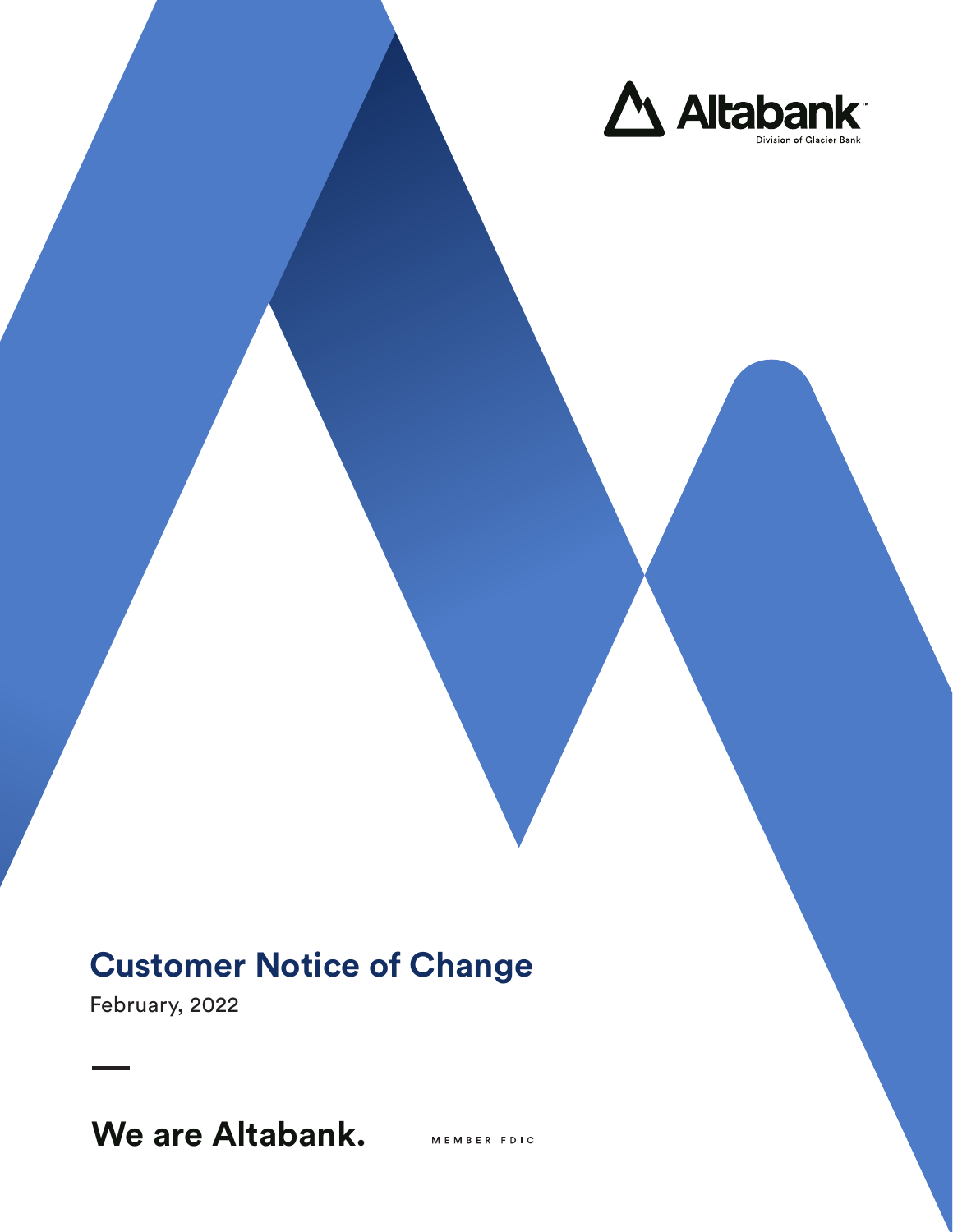

# **Customer Notice of Change**

February, 2022

# **We are Altabank.**

MEMBER FDIC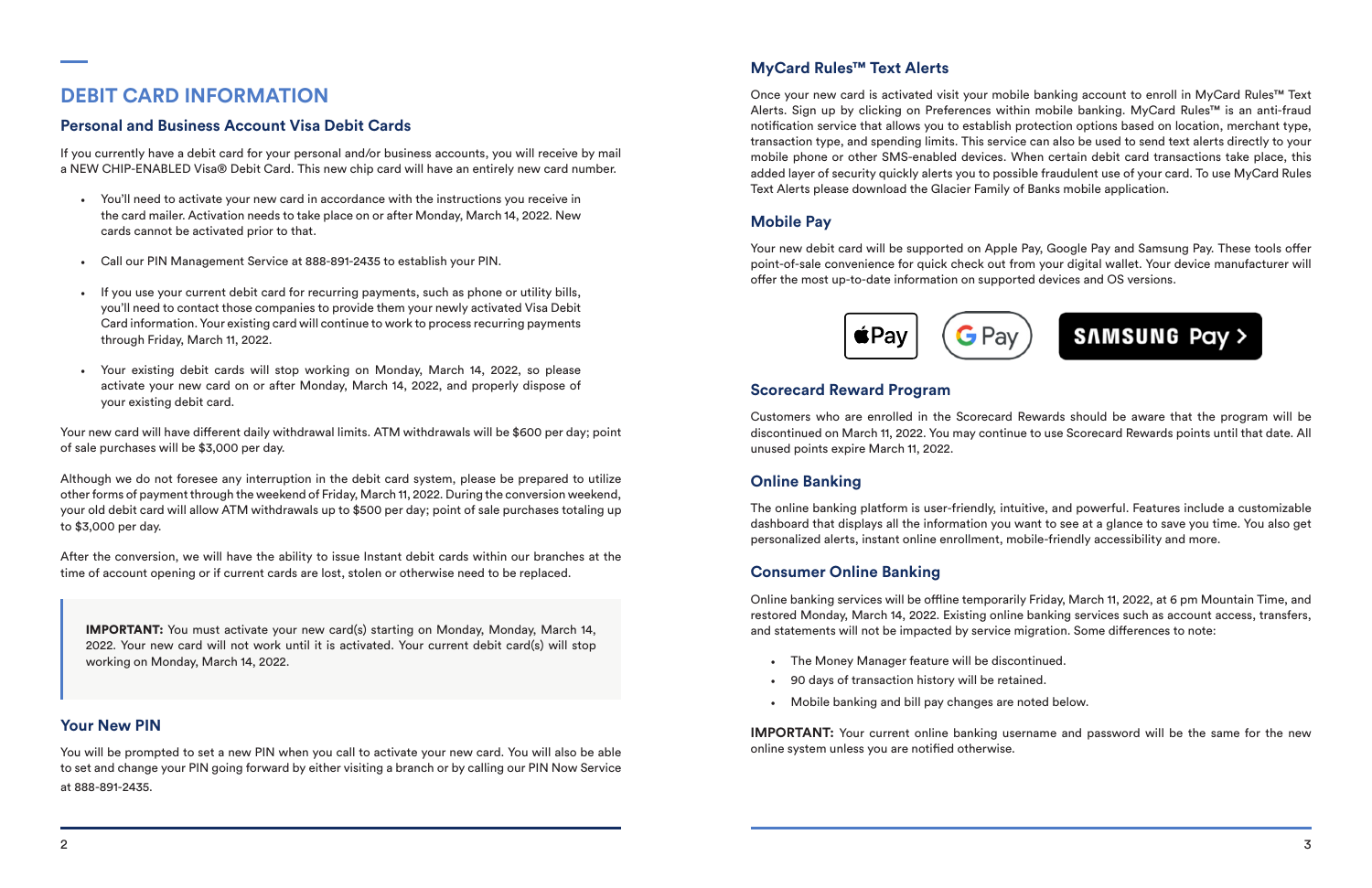# **DEBIT CARD INFORMATION**

## **Personal and Business Account Visa Debit Cards**

If you currently have a debit card for your personal and/or business accounts, you will receive by mail a NEW CHIP-ENABLED Visa® Debit Card. This new chip card will have an entirely new card number.

- You'll need to activate your new card in accordance with the instructions you receive in the card mailer. Activation needs to take place on or after Monday, March 14, 2022. New cards cannot be activated prior to that.
- Call our PIN Management Service at 888-891-2435 to establish your PIN.
- If you use your current debit card for recurring payments, such as phone or utility bills, you'll need to contact those companies to provide them your newly activated Visa Debit Card information. Your existing card will continue to work to process recurring payments through Friday, March 11, 2022.
- Your existing debit cards will stop working on Monday, March 14, 2022, so please activate your new card on or after Monday, March 14, 2022, and properly dispose of your existing debit card.

Your new card will have different daily withdrawal limits. ATM withdrawals will be \$600 per day; point of sale purchases will be \$3,000 per day.

Although we do not foresee any interruption in the debit card system, please be prepared to utilize other forms of payment through the weekend of Friday, March 11, 2022. During the conversion weekend, your old debit card will allow ATM withdrawals up to \$500 per day; point of sale purchases totaling up to \$3,000 per day.

After the conversion, we will have the ability to issue Instant debit cards within our branches at the time of account opening or if current cards are lost, stolen or otherwise need to be replaced.

## **MyCard Rules™ Text Alerts**

Once your new card is activated visit your mobile banking account to enroll in MyCard Rules™ Text Alerts. Sign up by clicking on Preferences within mobile banking. MyCard Rules™ is an anti-fraud notification service that allows you to establish protection options based on location, merchant type, transaction type, and spending limits. This service can also be used to send text alerts directly to your mobile phone or other SMS-enabled devices. When certain debit card transactions take place, this added layer of security quickly alerts you to possible fraudulent use of your card. To use MyCard Rules Text Alerts please download the Glacier Family of Banks mobile application.

**IMPORTANT:** Your current online banking username and password will be the same for the new online system unless you are notified otherwise.

## **Mobile Pay**

Your new debit card will be supported on Apple Pay, Google Pay and Samsung Pay. These tools offer point-of-sale convenience for quick check out from your digital wallet. Your device manufacturer will offer the most up-to-date information on supported devices and OS versions.



IMPORTANT: You must activate your new card(s) starting on Monday, Monday, March 14, 2022. Your new card will not work until it is activated. Your current debit card(s) will stop working on Monday, March 14, 2022.

## **Your New PIN**

You will be prompted to set a new PIN when you call to activate your new card. You will also be able to set and change your PIN going forward by either visiting a branch or by calling our PIN Now Service at 888-891-2435.

## **Scorecard Reward Program**

Customers who are enrolled in the Scorecard Rewards should be aware that the program will be discontinued on March 11, 2022. You may continue to use Scorecard Rewards points until that date. All unused points expire March 11, 2022.

## **Online Banking**

The online banking platform is user-friendly, intuitive, and powerful. Features include a customizable dashboard that displays all the information you want to see at a glance to save you time. You also get personalized alerts, instant online enrollment, mobile-friendly accessibility and more.

## **Consumer Online Banking**

Online banking services will be offline temporarily Friday, March 11, 2022, at 6 pm Mountain Time, and restored Monday, March 14, 2022. Existing online banking services such as account access, transfers, and statements will not be impacted by service migration. Some differences to note:

- The Money Manager feature will be discontinued.
- 90 days of transaction history will be retained.
- Mobile banking and bill pay changes are noted below.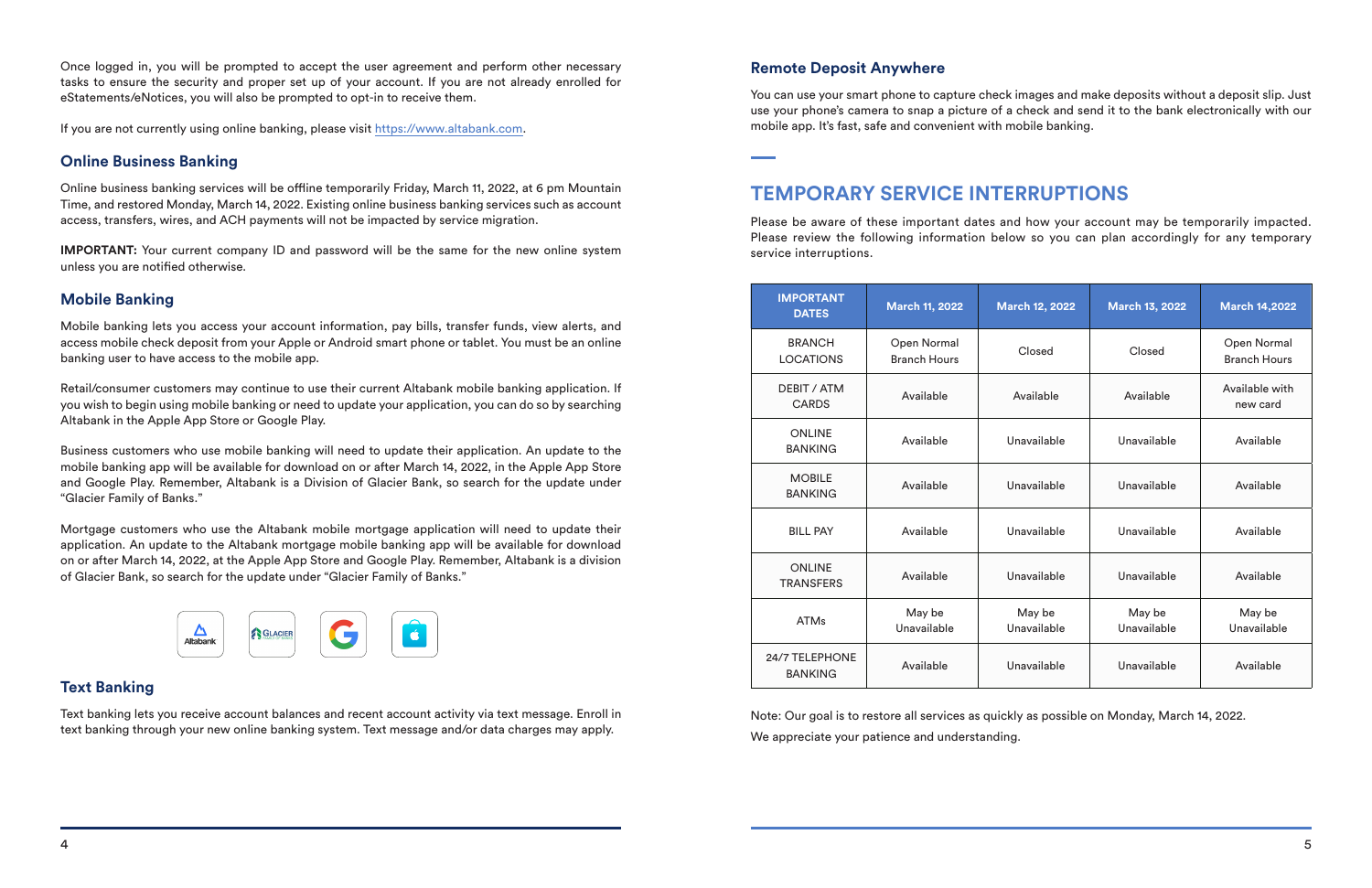Once logged in, you will be prompted to accept the user agreement and perform other necessary tasks to ensure the security and proper set up of your account. If you are not already enrolled for eStatements/eNotices, you will also be prompted to opt-in to receive them.

If you are not currently using online banking, please visit https://www.altabank.com.

#### **Online Business Banking**

**IMPORTANT:** Your current company ID and password will be the same for the new online system unless you are notified otherwise.

Online business banking services will be offline temporarily Friday, March 11, 2022, at 6 pm Mountain Time, and restored Monday, March 14, 2022. Existing online business banking services such as account access, transfers, wires, and ACH payments will not be impacted by service migration.

#### **Mobile Banking**

Mobile banking lets you access your account information, pay bills, transfer funds, view alerts, and access mobile check deposit from your Apple or Android smart phone or tablet. You must be an online banking user to have access to the mobile app.

Retail/consumer customers may continue to use their current Altabank mobile banking application. If you wish to begin using mobile banking or need to update your application, you can do so by searching Altabank in the Apple App Store or Google Play.

Business customers who use mobile banking will need to update their application. An update to the mobile banking app will be available for download on or after March 14, 2022, in the Apple App Store and Google Play. Remember, Altabank is a Division of Glacier Bank, so search for the update under "Glacier Family of Banks."

Mortgage customers who use the Altabank mobile mortgage application will need to update their application. An update to the Altabank mortgage mobile banking app will be available for download on or after March 14, 2022, at the Apple App Store and Google Play. Remember, Altabank is a division of Glacier Bank, so search for the update under "Glacier Family of Banks."



### **Text Banking**

Text banking lets you receive account balances and recent account activity via text message. Enroll in text banking through your new online banking system. Text message and/or data charges may apply.

#### **Remote Deposit Anywhere**

You can use your smart phone to capture check images and make deposits without a deposit slip. Just use your phone's camera to snap a picture of a check and send it to the bank electronically with our mobile app. It's fast, safe and convenient with mobile banking.

# **TEMPORARY SERVICE INTERRUPTIONS**

Please be aware of these important dates and how your account may be temporarily impacted. Please review the following information below so you can plan accordingly for any temporary service interruptions.

| <b>IMPORTANT</b><br><b>DATES</b>   | <b>March 11, 2022</b>              | <b>March 12, 2022</b> | <b>March 13, 2022</b> | <b>March 14,2022</b>               |
|------------------------------------|------------------------------------|-----------------------|-----------------------|------------------------------------|
| <b>BRANCH</b><br><b>LOCATIONS</b>  | Open Normal<br><b>Branch Hours</b> | Closed                | Closed                | Open Normal<br><b>Branch Hours</b> |
| <b>DEBIT / ATM</b><br><b>CARDS</b> | Available                          | Available             | Available             | Available with<br>new card         |
| <b>ONLINE</b><br><b>BANKING</b>    | Available                          | Unavailable           | Unavailable           | Available                          |
| <b>MOBILE</b><br><b>BANKING</b>    | Available                          | Unavailable           | Unavailable           | Available                          |
| <b>BILL PAY</b>                    | Available                          | Unavailable           | Unavailable           | Available                          |
| <b>ONLINE</b><br><b>TRANSFERS</b>  | Available                          | Unavailable           | Unavailable           | Available                          |
| <b>ATMs</b>                        | May be<br>Unavailable              | May be<br>Unavailable | May be<br>Unavailable | May be<br>Unavailable              |
| 24/7 TELEPHONE<br><b>BANKING</b>   | Available                          | Unavailable           | Unavailable           | Available                          |

Note: Our goal is to restore all services as quickly as possible on Monday, March 14, 2022. We appreciate your patience and understanding.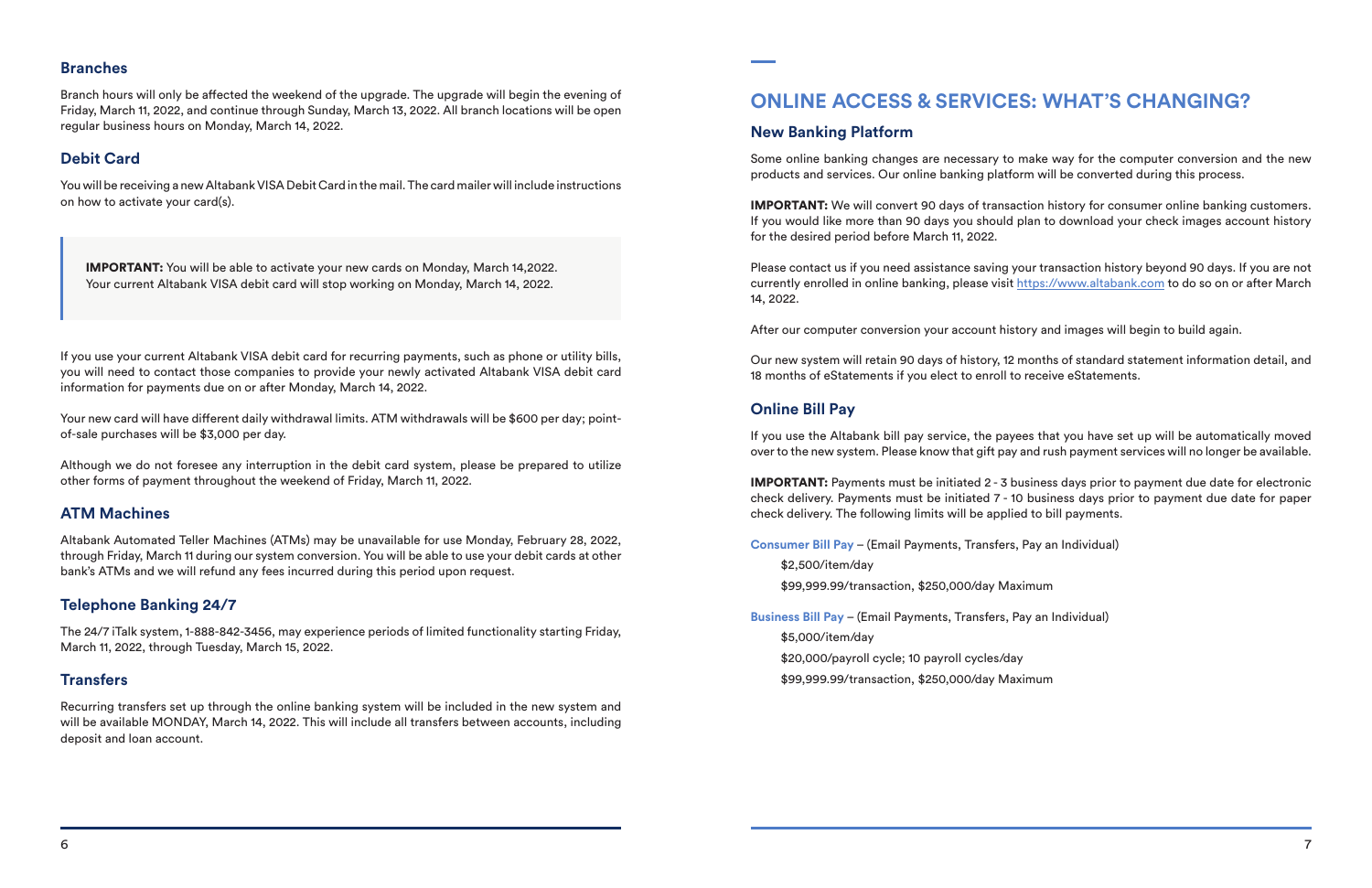#### **Branches**

Branch hours will only be affected the weekend of the upgrade. The upgrade will begin the evening of Friday, March 11, 2022, and continue through Sunday, March 13, 2022. All branch locations will be open regular business hours on Monday, March 14, 2022.

## **Debit Card**

You will be receiving a new Altabank VISA Debit Card in the mail. The card mailer will include instructions on how to activate your card(s).

Your new card will have different daily withdrawal limits. ATM withdrawals will be \$600 per day; pointof-sale purchases will be \$3,000 per day.

IMPORTANT: You will be able to activate your new cards on Monday, March 14,2022. Your current Altabank VISA debit card will stop working on Monday, March 14, 2022.

If you use your current Altabank VISA debit card for recurring payments, such as phone or utility bills, you will need to contact those companies to provide your newly activated Altabank VISA debit card information for payments due on or after Monday, March 14, 2022.

Although we do not foresee any interruption in the debit card system, please be prepared to utilize other forms of payment throughout the weekend of Friday, March 11, 2022.

## **ATM Machines**

Altabank Automated Teller Machines (ATMs) may be unavailable for use Monday, February 28, 2022, through Friday, March 11 during our system conversion. You will be able to use your debit cards at other bank's ATMs and we will refund any fees incurred during this period upon request.

## **Telephone Banking 24/7**

The 24/7 iTalk system, 1-888-842-3456, may experience periods of limited functionality starting Friday, March 11, 2022, through Tuesday, March 15, 2022.

## **Transfers**

Recurring transfers set up through the online banking system will be included in the new system and will be available MONDAY, March 14, 2022. This will include all transfers between accounts, including deposit and loan account.

# **ONLINE ACCESS & SERVICES: WHAT'S CHANGING?**

### **New Banking Platform**

Some online banking changes are necessary to make way for the computer conversion and the new products and services. Our online banking platform will be converted during this process.

IMPORTANT: We will convert 90 days of transaction history for consumer online banking customers. If you would like more than 90 days you should plan to download your check images account history for the desired period before March 11, 2022.

Please contact us if you need assistance saving your transaction history beyond 90 days. If you are not currently enrolled in online banking, please visit https://www.altabank.com to do so on or after March 14, 2022.

After our computer conversion your account history and images will begin to build again.

Our new system will retain 90 days of history, 12 months of standard statement information detail, and 18 months of eStatements if you elect to enroll to receive eStatements.

## **Online Bill Pay**

If you use the Altabank bill pay service, the payees that you have set up will be automatically moved over to the new system. Please know that gift pay and rush payment services will no longer be available.

IMPORTANT: Payments must be initiated 2 - 3 business days prior to payment due date for electronic check delivery. Payments must be initiated 7 - 10 business days prior to payment due date for paper check delivery. The following limits will be applied to bill payments.

**Consumer Bill Pay** – (Email Payments, Transfers, Pay an Individual)

\$2,500/item/day \$99,999.99/transaction, \$250,000/day Maximum

**Business Bill Pay** – (Email Payments, Transfers, Pay an Individual) \$5,000/item/day

\$20,000/payroll cycle; 10 payroll cycles/day

\$99,999.99/transaction, \$250,000/day Maximum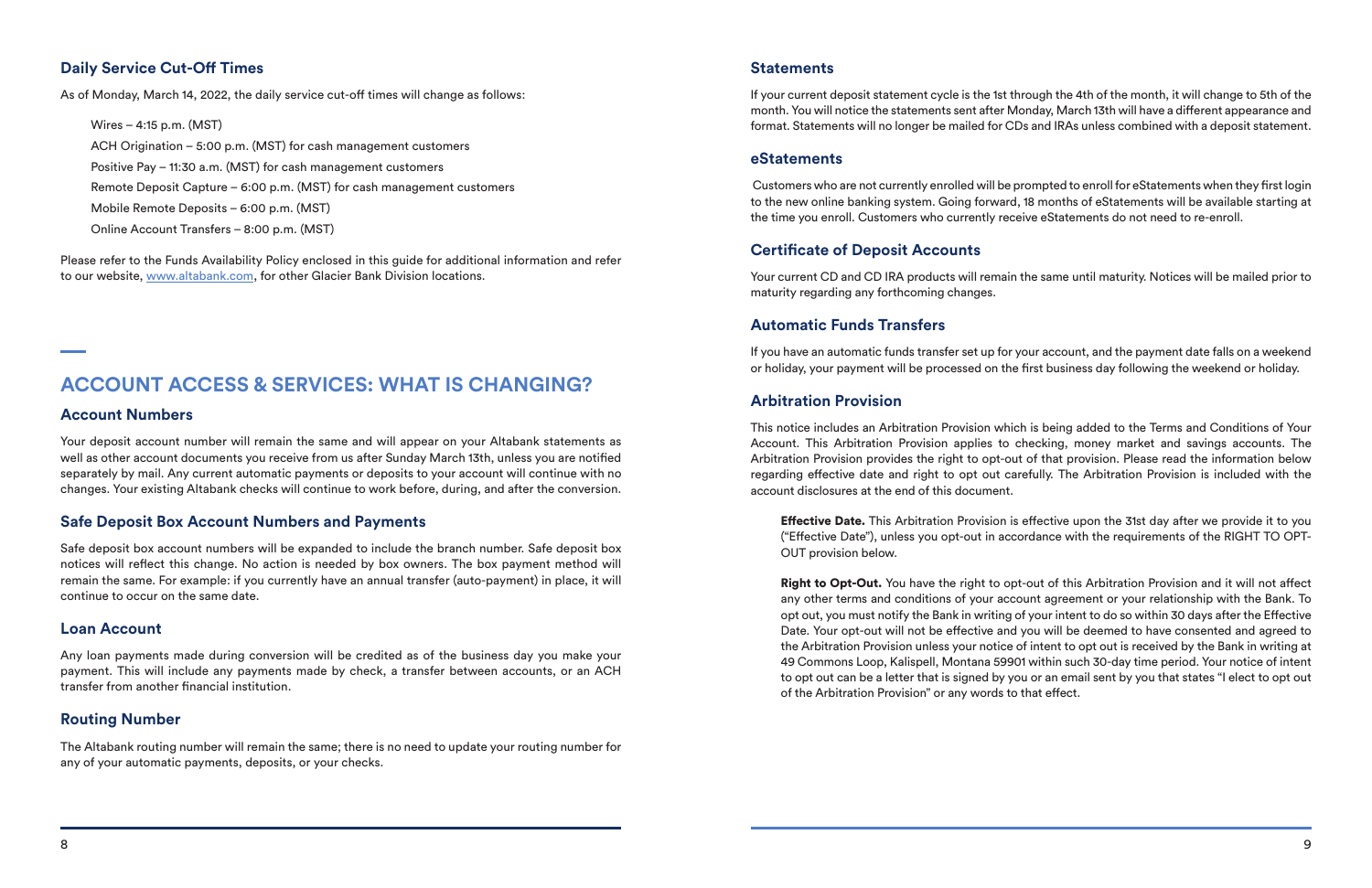### **Daily Service Cut-Off Times**

As of Monday, March 14, 2022, the daily service cut-off times will change as follows:

Wires – 4:15 p.m. (MST) ACH Origination – 5:00 p.m. (MST) for cash management customers Positive Pay – 11:30 a.m. (MST) for cash management customers Remote Deposit Capture – 6:00 p.m. (MST) for cash management customers Mobile Remote Deposits – 6:00 p.m. (MST) Online Account Transfers – 8:00 p.m. (MST)

Please refer to the Funds Availability Policy enclosed in this guide for additional information and refer to our website, www.altabank.com, for other Glacier Bank Division locations.

# **ACCOUNT ACCESS & SERVICES: WHAT IS CHANGING?**

#### **Account Numbers**

Your deposit account number will remain the same and will appear on your Altabank statements as well as other account documents you receive from us after Sunday March 13th, unless you are notified separately by mail. Any current automatic payments or deposits to your account will continue with no changes. Your existing Altabank checks will continue to work before, during, and after the conversion.

#### **Safe Deposit Box Account Numbers and Payments**

Safe deposit box account numbers will be expanded to include the branch number. Safe deposit box notices will reflect this change. No action is needed by box owners. The box payment method will remain the same. For example: if you currently have an annual transfer (auto-payment) in place, it will continue to occur on the same date.

#### **Loan Account**

Any loan payments made during conversion will be credited as of the business day you make your payment. This will include any payments made by check, a transfer between accounts, or an ACH transfer from another financial institution.

#### **Routing Number**

The Altabank routing number will remain the same; there is no need to update your routing number for any of your automatic payments, deposits, or your checks.

**Effective Date.** This Arbitration Provision is effective upon the 31st day after we provide it to you ("Effective Date"), unless you opt-out in accordance with the requirements of the RIGHT TO OPT-OUT provision below.

#### **Statements**

If your current deposit statement cycle is the 1st through the 4th of the month, it will change to 5th of the month. You will notice the statements sent after Monday, March 13th will have a different appearance and format. Statements will no longer be mailed for CDs and IRAs unless combined with a deposit statement.

Right to Opt-Out. You have the right to opt-out of this Arbitration Provision and it will not affect any other terms and conditions of your account agreement or your relationship with the Bank. To opt out, you must notify the Bank in writing of your intent to do so within 30 days after the Effective Date. Your opt-out will not be effective and you will be deemed to have consented and agreed to the Arbitration Provision unless your notice of intent to opt out is received by the Bank in writing at 49 Commons Loop, Kalispell, Montana 59901 within such 30-day time period. Your notice of intent to opt out can be a letter that is signed by you or an email sent by you that states "I elect to opt out of the Arbitration Provision" or any words to that effect.

#### **eStatements**

 Customers who are not currently enrolled will be prompted to enroll for eStatements when they first login to the new online banking system. Going forward, 18 months of eStatements will be available starting at the time you enroll. Customers who currently receive eStatements do not need to re-enroll.

#### **Certificate of Deposit Accounts**

Your current CD and CD IRA products will remain the same until maturity. Notices will be mailed prior to maturity regarding any forthcoming changes.

### **Automatic Funds Transfers**

If you have an automatic funds transfer set up for your account, and the payment date falls on a weekend or holiday, your payment will be processed on the first business day following the weekend or holiday.

#### **Arbitration Provision**

This notice includes an Arbitration Provision which is being added to the Terms and Conditions of Your Account. This Arbitration Provision applies to checking, money market and savings accounts. The Arbitration Provision provides the right to opt-out of that provision. Please read the information below regarding effective date and right to opt out carefully. The Arbitration Provision is included with the account disclosures at the end of this document.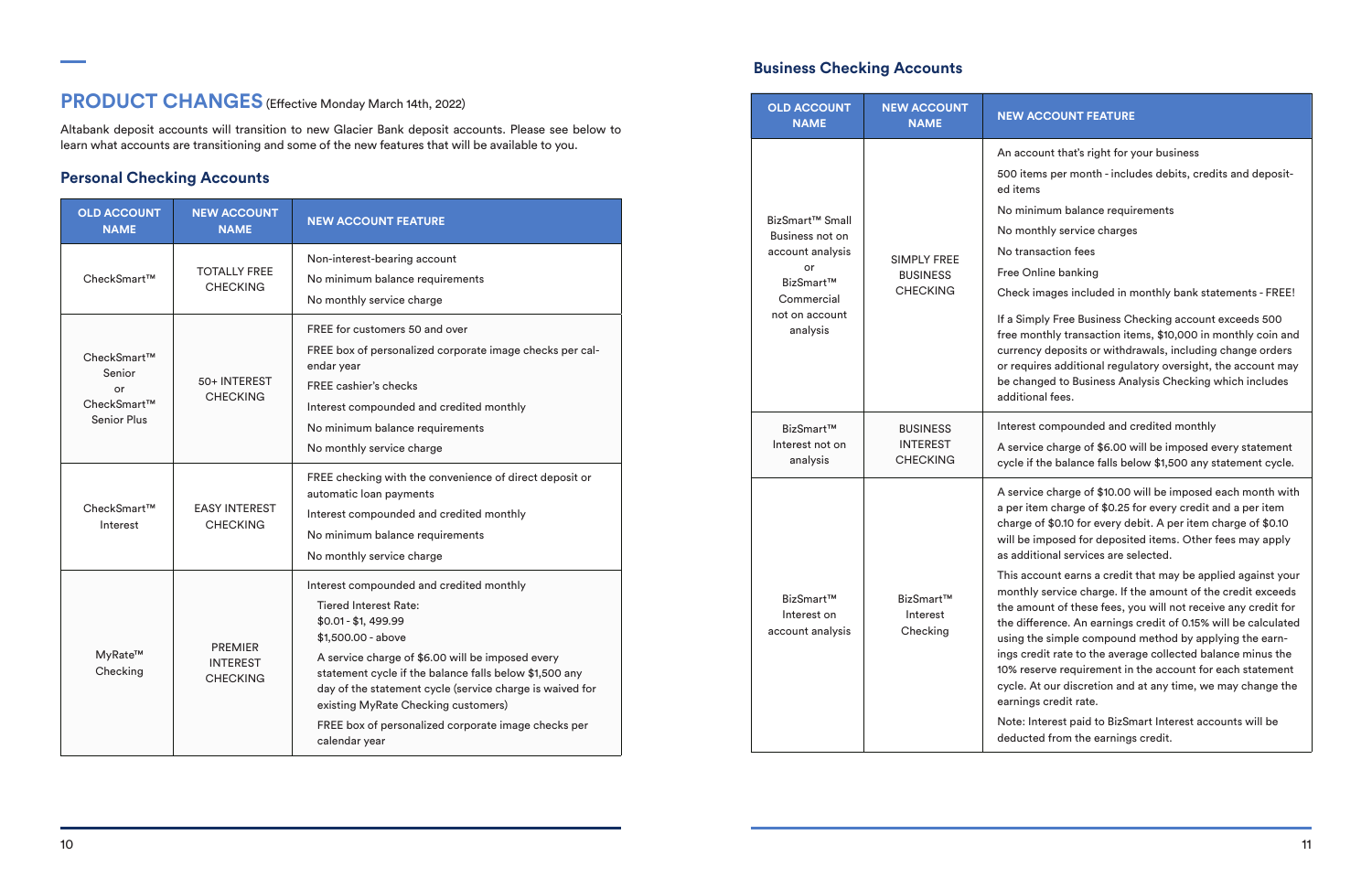#### **W ACCOUNT FEATURE**

account that's right for your business

- 0 items per month includes debits, credits and deposititems
- minimum balance requirements
- monthly service charges
- transaction fees
- ee Online banking

neck images included in monthly bank statements - FREE!

**Simply Free Business Checking account exceeds 500** e monthly transaction items, \$10,000 in monthly coin and rrency deposits or withdrawals, including change orders requires additional regulatory oversight, the account may changed to Business Analysis Checking which includes ditional fees.

terest compounded and credited monthly

service charge of \$6.00 will be imposed every statement cle if the balance falls below \$1,500 any statement cycle.

service charge of \$10.00 will be imposed each month with ber item charge of \$0.25 for every credit and a per item arge of \$0.10 for every debit. A per item charge of \$0.10 Il be imposed for deposited items. Other fees may apply additional services are selected.

is account earns a credit that may be applied against your onthly service charge. If the amount of the credit exceeds e amount of these fees, you will not receive any credit for e difference. An earnings credit of 0.15% will be calculated ing the simple compound method by applying the earngs credit rate to the average collected balance minus the % reserve requirement in the account for each statement cle. At our discretion and at any time, we may change the rnings credit rate.

ote: Interest paid to BizSmart Interest accounts will be ducted from the earnings credit.

# **PRODUCT CHANGES** (Effective Monday March 14th, 2022)

Altabank deposit accounts will transition to new Glacier Bank deposit accounts. Please see below to learn what accounts are transitioning and some of the new features that will be available to you.

## **Personal Checking Accounts**

| <b>OLD ACCOUNT</b><br><b>NAME</b>                                | <b>NEW ACCOUNT</b><br><b>NAME</b>                    | <b>NEW ACCOUNT FEATURE</b>                                                                                                                                                                                                                                                                                                                                                                                     |  |
|------------------------------------------------------------------|------------------------------------------------------|----------------------------------------------------------------------------------------------------------------------------------------------------------------------------------------------------------------------------------------------------------------------------------------------------------------------------------------------------------------------------------------------------------------|--|
| CheckSmart™                                                      | <b>TOTALLY FREE</b><br><b>CHECKING</b>               | Non-interest-bearing account<br>No minimum balance requirements<br>No monthly service charge                                                                                                                                                                                                                                                                                                                   |  |
| CheckSmart™<br>Senior<br>or<br>CheckSmart™<br><b>Senior Plus</b> | 50+ INTEREST<br><b>CHECKING</b>                      | FREE for customers 50 and over<br>FREE box of personalized corporate image checks per cal-<br>endar year<br><b>FREE cashier's checks</b><br>Interest compounded and credited monthly<br>No minimum balance requirements<br>No monthly service charge                                                                                                                                                           |  |
| CheckSmart™<br>Interest                                          | <b>EASY INTEREST</b><br><b>CHECKING</b>              | FREE checking with the convenience of direct deposit or<br>automatic loan payments<br>Interest compounded and credited monthly<br>No minimum balance requirements<br>No monthly service charge                                                                                                                                                                                                                 |  |
| MyRate™<br>Checking                                              | <b>PREMIER</b><br><b>INTEREST</b><br><b>CHECKING</b> | Interest compounded and credited monthly<br><b>Tiered Interest Rate:</b><br>$$0.01 - $1,499.99$<br>\$1,500.00 - above<br>A service charge of \$6.00 will be imposed every<br>statement cycle if the balance falls below \$1,500 any<br>day of the statement cycle (service charge is waived for<br>existing MyRate Checking customers)<br>FREE box of personalized corporate image checks per<br>calendar year |  |

#### **Business Checking Accounts**

| <b>OLD ACCOUNT</b><br><b>NAME</b> |                                                                                                                                   | <b>NEW ACCOUNT</b><br><b>NAME</b>                        | <b>NE</b>                                                                                                            |  |
|-----------------------------------|-----------------------------------------------------------------------------------------------------------------------------------|----------------------------------------------------------|----------------------------------------------------------------------------------------------------------------------|--|
|                                   | BizSmart <sup>™</sup> Small<br>Business not on<br>account analysis<br>or<br>BizSmart™<br>Commercial<br>not on account<br>analysis | <b>SIMPLY FREE</b><br><b>BUSINESS</b><br><b>CHECKING</b> | An<br>50<br>ed<br>No<br>No<br>No<br>Fre<br>Ch<br>If a<br>fre<br>cu<br>or<br>be<br>ad                                 |  |
|                                   | BizSmart™<br>Interest not on<br>analysis                                                                                          | <b>BUSINESS</b><br><b>INTEREST</b><br><b>CHECKING</b>    | Int<br>A s<br>cy                                                                                                     |  |
|                                   | BizSmart™<br>Interest on<br>account analysis                                                                                      | BizSmart™<br>Interest<br>Checking                        | A s<br>a p<br>cha<br>wil<br>as<br>Thi<br>mc<br>the<br>the<br>usi<br>ing<br>10 <sub>2</sub><br>cyo<br>ear<br>No<br>de |  |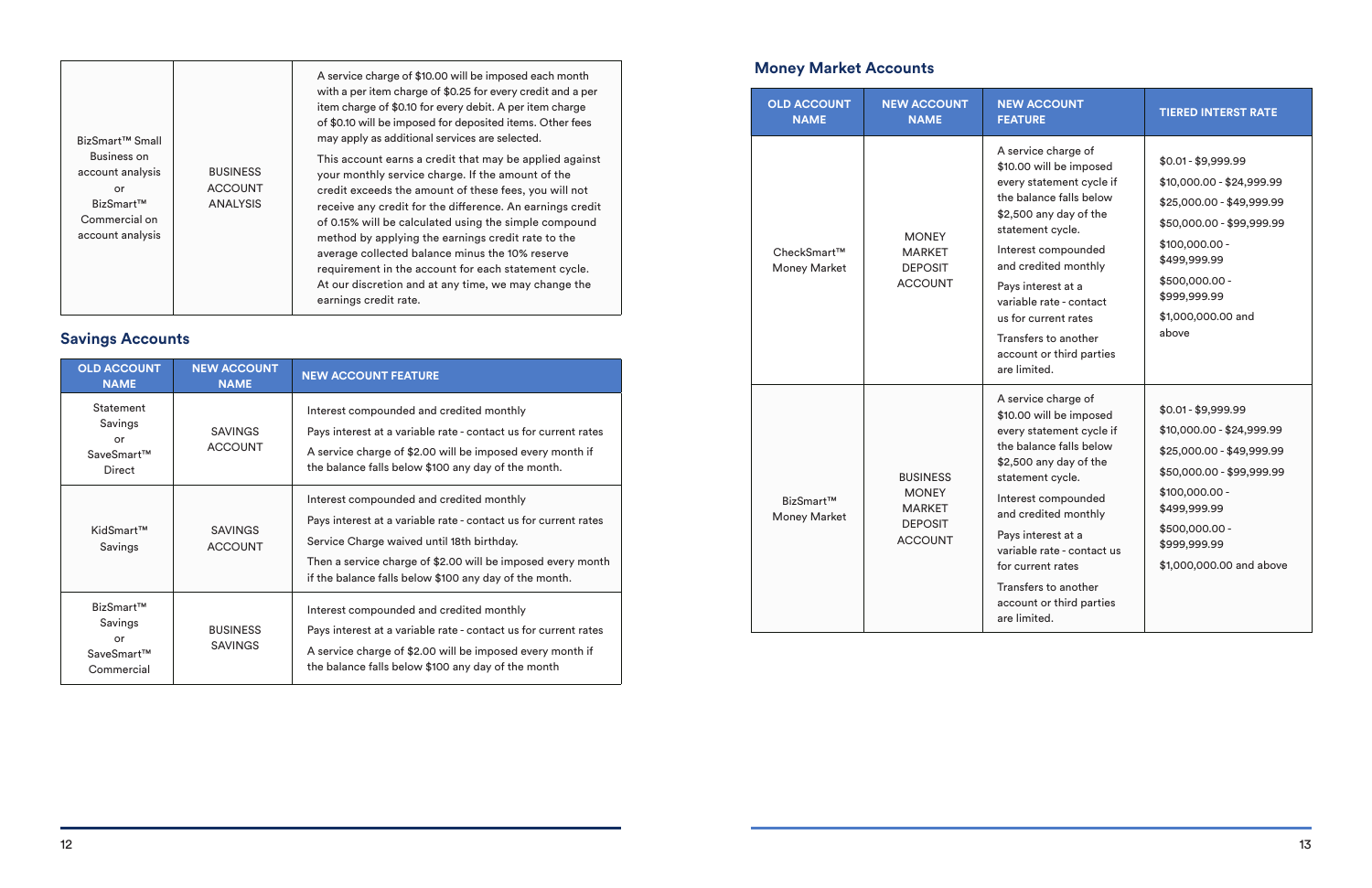|                                                                                         |                                                      | A service charge of \$10.00 will be imposed each month                                                                                                                                                                                                                                                                                                                                                                                                                                                                                        | <b>Money Market Accounts</b>       |                                                                   |                                                                                                   |
|-----------------------------------------------------------------------------------------|------------------------------------------------------|-----------------------------------------------------------------------------------------------------------------------------------------------------------------------------------------------------------------------------------------------------------------------------------------------------------------------------------------------------------------------------------------------------------------------------------------------------------------------------------------------------------------------------------------------|------------------------------------|-------------------------------------------------------------------|---------------------------------------------------------------------------------------------------|
| BizSmart <sup>™</sup> Small                                                             |                                                      | with a per item charge of \$0.25 for every credit and a per<br>item charge of \$0.10 for every debit. A per item charge<br>of \$0.10 will be imposed for deposited items. Other fees<br>may apply as additional services are selected.                                                                                                                                                                                                                                                                                                        | <b>OLD ACCOUNT</b><br><b>NAME</b>  | <b>NEW ACCOUNT</b><br><b>NAME</b>                                 | <b>NE</b><br>FE/                                                                                  |
| Business on<br>account analysis<br>or<br>BizSmart™<br>Commercial on<br>account analysis | <b>BUSINESS</b><br><b>ACCOUNT</b><br><b>ANALYSIS</b> | This account earns a credit that may be applied against<br>your monthly service charge. If the amount of the<br>credit exceeds the amount of these fees, you will not<br>receive any credit for the difference. An earnings credit<br>of 0.15% will be calculated using the simple compound<br>method by applying the earnings credit rate to the<br>average collected balance minus the 10% reserve<br>requirement in the account for each statement cycle.<br>At our discretion and at any time, we may change the<br>earnings credit rate. | CheckSmart™<br><b>Money Market</b> | <b>MONEY</b><br><b>MARKET</b><br><b>DEPOSIT</b><br><b>ACCOUNT</b> | A s<br>\$1C<br>eve<br>the<br>\$2,<br>sta <sup>.</sup><br>Inte<br>and<br>Pay<br>var<br>us i<br>Tra |
| <b>Savings Accounts</b>                                                                 |                                                      |                                                                                                                                                                                                                                                                                                                                                                                                                                                                                                                                               |                                    |                                                                   |                                                                                                   |

| <b>OLD ACCOUNT</b><br><b>NAME</b>                      | <b>NEW ACCOUNT</b><br><b>NAME</b> | <b>NEW ACCOUNT FEATURE</b>                                                                                                                                                                                                                                                         |  |
|--------------------------------------------------------|-----------------------------------|------------------------------------------------------------------------------------------------------------------------------------------------------------------------------------------------------------------------------------------------------------------------------------|--|
| Statement<br>Savings<br>or<br>SaveSmart™<br>Direct     | <b>SAVINGS</b><br><b>ACCOUNT</b>  | Interest compounded and credited monthly<br>Pays interest at a variable rate - contact us for current rates<br>A service charge of \$2.00 will be imposed every month if<br>the balance falls below \$100 any day of the month.                                                    |  |
| KidSmart™<br>Savings                                   | <b>SAVINGS</b><br><b>ACCOUNT</b>  | Interest compounded and credited monthly<br>Pays interest at a variable rate - contact us for current rates<br>Service Charge waived until 18th birthday.<br>Then a service charge of \$2.00 will be imposed every month<br>if the balance falls below \$100 any day of the month. |  |
| BizSmart™<br>Savings<br>or<br>SaveSmart™<br>Commercial | <b>BUSINESS</b><br><b>SAVINGS</b> | Interest compounded and credited monthly<br>Pays interest at a variable rate - contact us for current rates<br>A service charge of \$2.00 will be imposed every month if<br>the balance falls below \$100 any day of the month                                                     |  |

| <b>NEW ACCOUNT</b><br><b>FEATURE</b>                                                                                                                                                                                                                                                                                                            | <b>TIERED INTERST RATE</b>                                                                                                                                                                                    |  |
|-------------------------------------------------------------------------------------------------------------------------------------------------------------------------------------------------------------------------------------------------------------------------------------------------------------------------------------------------|---------------------------------------------------------------------------------------------------------------------------------------------------------------------------------------------------------------|--|
| A service charge of<br>\$10.00 will be imposed<br>every statement cycle if<br>the balance falls below<br>\$2,500 any day of the<br>statement cycle.<br>Interest compounded<br>and credited monthly<br>Pays interest at a<br>variable rate - contact<br>us for current rates<br>Transfers to another<br>account or third parties<br>are limited. | $$0.01 - $9,999.99$<br>\$10,000.00 - \$24,999.99<br>\$25,000.00 - \$49,999.99<br>\$50,000.00 - \$99,999.99<br>\$100,000.00 -<br>\$499,999.99<br>\$500,000.00 -<br>\$999,999.99<br>\$1,000,000.00 and<br>above |  |
| A service charge of<br>\$10.00 will be imposed<br>every statement cycle if<br>the balance falls below<br>\$2,500 any day of the<br>statement cycle.<br>Interest compounded<br>and credited monthly<br>Pays interest at a<br>variable rate - contact us<br>for current rates<br>Transfers to another<br>account or third parties<br>are limited. | $$0.01 - $9,999.99$<br>\$10,000.00 - \$24,999.99<br>\$25,000.00 - \$49,999.99<br>\$50,000.00 - \$99,999.99<br>\$100,000.00 -<br>\$499,999.99<br>\$500,000.00 -<br>\$999,999.99<br>\$1,000,000.00 and above    |  |

BizSmart™ Money Market

BUSINESS MONEY MARKET DEPOSIT ACCOUNT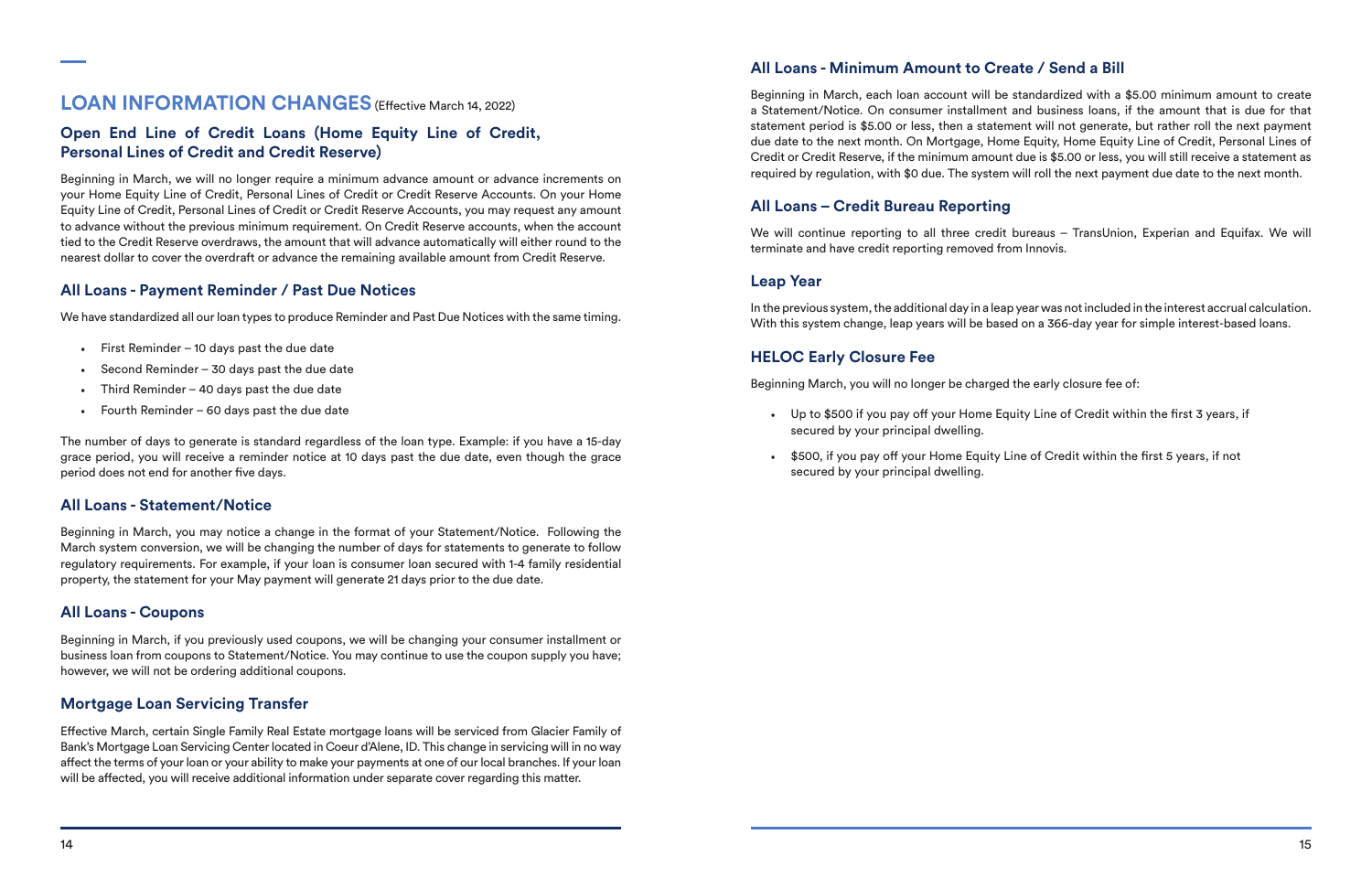## **LOAN INFORMATION CHANGES** (Effective March 14, 2022)

## **Open End Line of Credit Loans (Home Equity Line of Credit, Personal Lines of Credit and Credit Reserve)**

- First Reminder 10 days past the due date
- Second Reminder  $-$  30 days past the due date
- Third Reminder  $-$  40 days past the due date
- Fourth Reminder  $-60$  days past the due date

Beginning in March, we will no longer require a minimum advance amount or advance increments on your Home Equity Line of Credit, Personal Lines of Credit or Credit Reserve Accounts. On your Home Equity Line of Credit, Personal Lines of Credit or Credit Reserve Accounts, you may request any amount to advance without the previous minimum requirement. On Credit Reserve accounts, when the account tied to the Credit Reserve overdraws, the amount that will advance automatically will either round to the nearest dollar to cover the overdraft or advance the remaining available amount from Credit Reserve.

## **All Loans - Payment Reminder / Past Due Notices**

We have standardized all our loan types to produce Reminder and Past Due Notices with the same timing.

The number of days to generate is standard regardless of the loan type. Example: if you have a 15-day grace period, you will receive a reminder notice at 10 days past the due date, even though the grace period does not end for another five days.

## **All Loans - Statement/Notice**

Beginning in March, you may notice a change in the format of your Statement/Notice. Following the March system conversion, we will be changing the number of days for statements to generate to follow regulatory requirements. For example, if your loan is consumer loan secured with 1-4 family residential property, the statement for your May payment will generate 21 days prior to the due date.

### **All Loans - Coupons**

Beginning in March, if you previously used coupons, we will be changing your consumer installment or business loan from coupons to Statement/Notice. You may continue to use the coupon supply you have; however, we will not be ordering additional coupons.

## **Mortgage Loan Servicing Transfer**

Effective March, certain Single Family Real Estate mortgage loans will be serviced from Glacier Family of Bank's Mortgage Loan Servicing Center located in Coeur d'Alene, ID. This change in servicing will in no way affect the terms of your loan or your ability to make your payments at one of our local branches. If your loan will be affected, you will receive additional information under separate cover regarding this matter.

## **All Loans - Minimum Amount to Create / Send a Bill**

Beginning in March, each loan account will be standardized with a \$5.00 minimum amount to create a Statement/Notice. On consumer installment and business loans, if the amount that is due for that statement period is \$5.00 or less, then a statement will not generate, but rather roll the next payment due date to the next month. On Mortgage, Home Equity, Home Equity Line of Credit, Personal Lines of Credit or Credit Reserve, if the minimum amount due is \$5.00 or less, you will still receive a statement as required by regulation, with \$0 due. The system will roll the next payment due date to the next month.

## **All Loans – Credit Bureau Reporting**

We will continue reporting to all three credit bureaus – TransUnion, Experian and Equifax. We will terminate and have credit reporting removed from Innovis.

### **Leap Year**

In the previous system, the additional day in a leap year was not included in the interest accrual calculation. With this system change, leap years will be based on a 366-day year for simple interest-based loans.

## **HELOC Early Closure Fee**

Beginning March, you will no longer be charged the early closure fee of:

• Up to \$500 if you pay off your Home Equity Line of Credit within the first 3 years, if

- secured by your principal dwelling.
- \$500, if you pay off your Home Equity Line of Credit within the first 5 years, if not secured by your principal dwelling.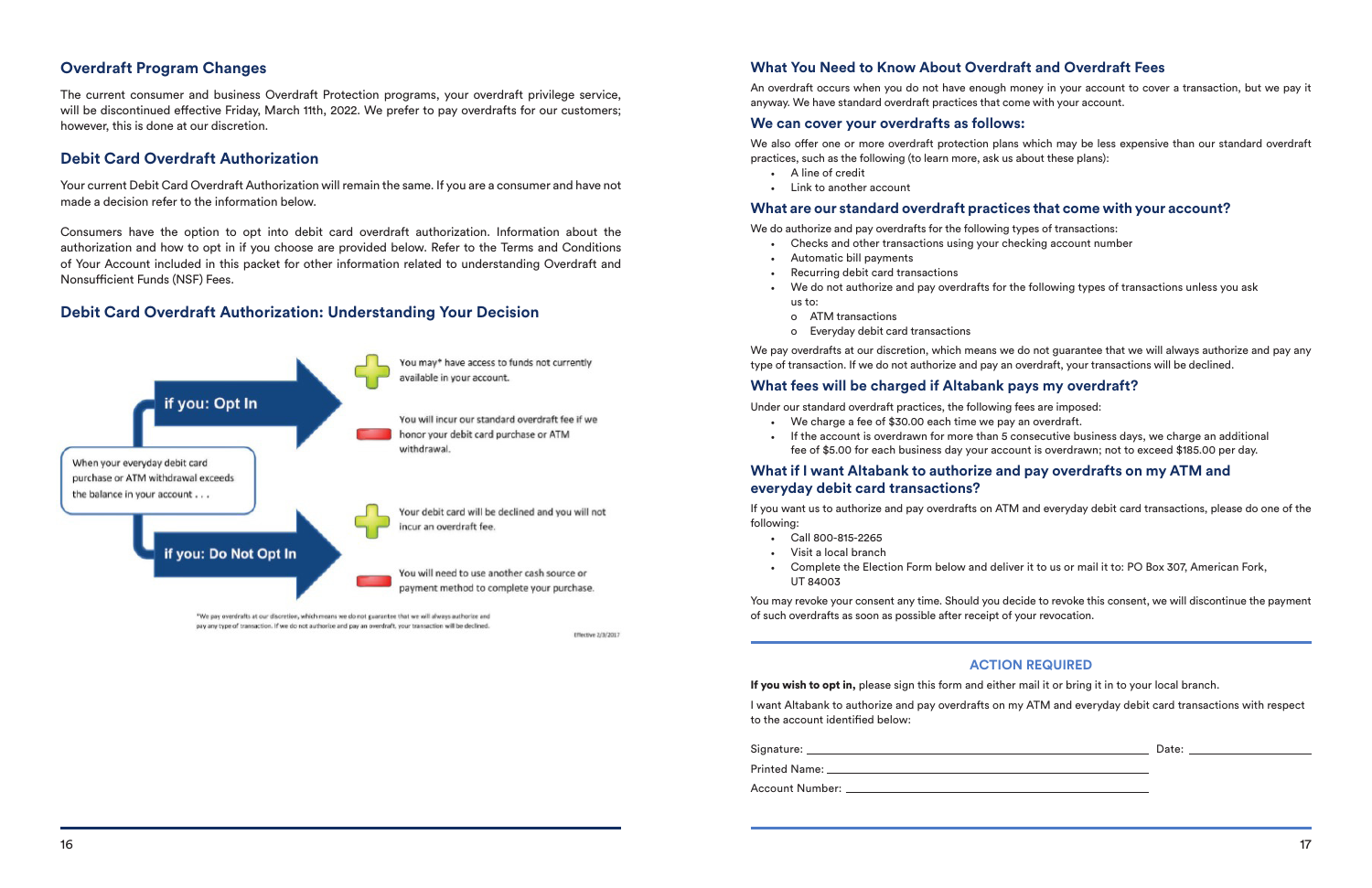### **Overdraft Program Changes**

The current consumer and business Overdraft Protection programs, your overdraft privilege service, will be discontinued effective Friday, March 11th, 2022. We prefer to pay overdrafts for our customers; however, this is done at our discretion.

#### **Debit Card Overdraft Authorization**

Your current Debit Card Overdraft Authorization will remain the same. If you are a consumer and have not made a decision refer to the information below.

Consumers have the option to opt into debit card overdraft authorization. Information about the authorization and how to opt in if you choose are provided below. Refer to the Terms and Conditions of Your Account included in this packet for other information related to understanding Overdraft and Nonsufficient Funds (NSF) Fees.

We do authorize and pay overdrafts for the following types of transactions: • Checks and other transactions using your checking account number

#### **Debit Card Overdraft Authorization: Understanding Your Decision**



\*We pay overdrafts at our discretion, which means we do not guarantee that we will always authorize and pay any type of transaction. If we do not authorize and pay an overdraft, your transaction will be declined.

Effective 2/3/2017

## **What You Need to Know About Overdraft and Overdraft Fees**

An overdraft occurs when you do not have enough money in your account to cover a transaction, but we pay it anyway. We have standard overdraft practices that come with your account.

#### **We can cover your overdrafts as follows:**

We also offer one or more overdraft protection plans which may be less expensive than our standard overdraft practices, such as the following (to learn more, ask us about these plans):

- A line of credit
- Link to another account

### **What are our standard overdraft practices that come with your account?**

• We do not authorize and pay overdrafts for the following types of transactions unless you ask

- 
- Automatic bill payments
- Recurring debit card transactions
- us to:
	- o ATM transactions
	- o Everyday debit card transactions

We pay overdrafts at our discretion, which means we do not guarantee that we will always authorize and pay any type of transaction. If we do not authorize and pay an overdraft, your transactions will be declined.

#### **What fees will be charged if Altabank pays my overdraft?**

Under our standard overdraft practices, the following fees are imposed:

• If the account is overdrawn for more than 5 consecutive business days, we charge an additional

- We charge a fee of \$30.00 each time we pay an overdraft.
- fee of \$5.00 for each business day your account is overdrawn; not to exceed \$185.00 per day.

#### **What if I want Altabank to authorize and pay overdrafts on my ATM and everyday debit card transactions?**

If you want us to authorize and pay overdrafts on ATM and everyday debit card transactions, please do one of the following:

- Call 800-815-2265
- Visit a local branch
- UT 84003

• Complete the Election Form below and deliver it to us or mail it to: PO Box 307, American Fork,

You may revoke your consent any time. Should you decide to revoke this consent, we will discontinue the payment of such overdrafts as soon as possible after receipt of your revocation.

### **ACTION REQUIRED**

If you wish to opt in, please sign this form and either mail it or bring it in to your local branch.

I want Altabank to authorize and pay overdrafts on my ATM and everyday debit card transactions with respect to the account identified below:

| Signature: _  | Date: |
|---------------|-------|
| Printed Name: |       |

Account Number: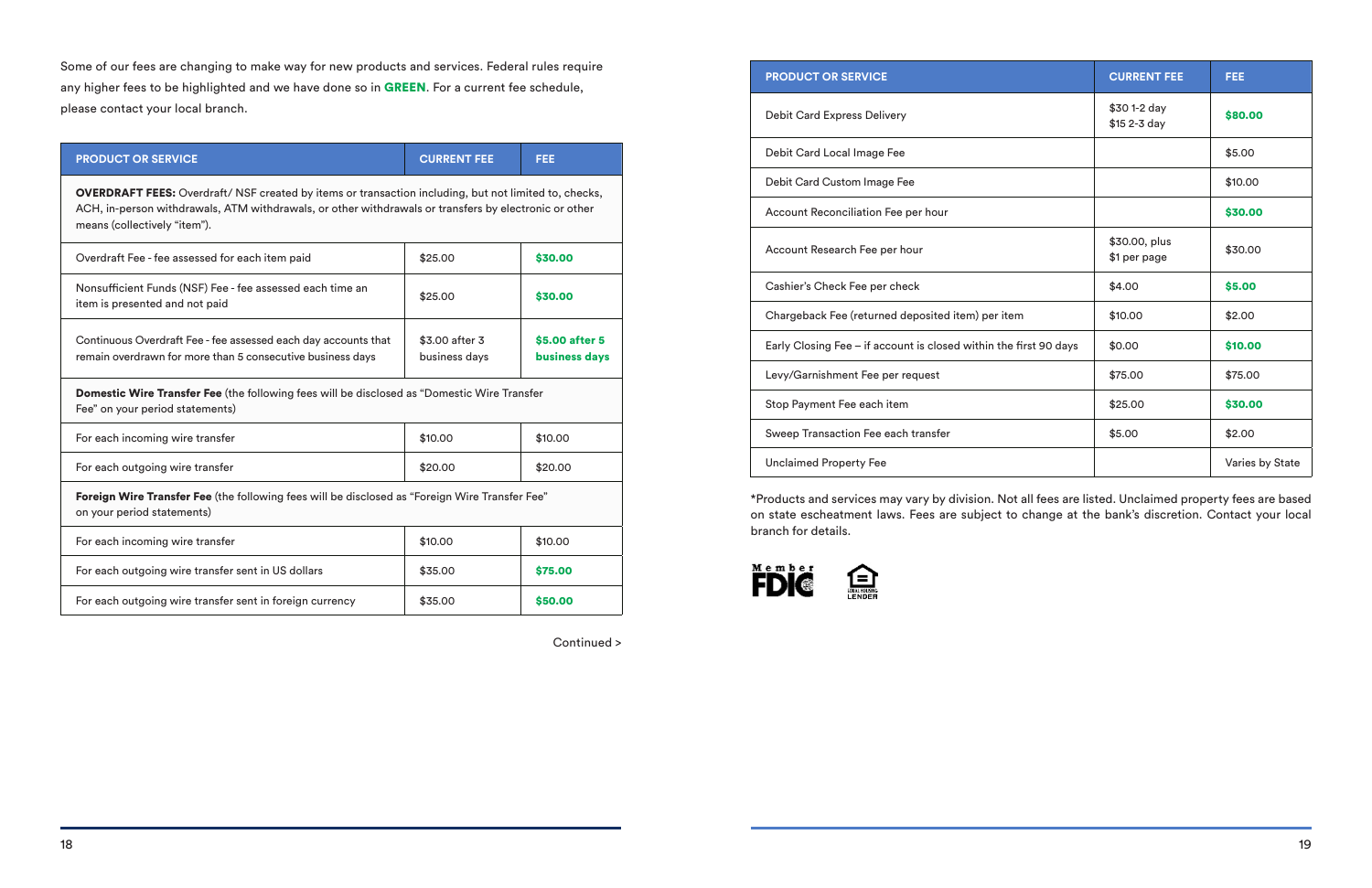Some of our fees are changing to make way for new products and services. Federal rules require any higher fees to be highlighted and we have done so in GREEN. For a current fee schedule, please contact your local branch.

| <b>PRODUCT OR SERVICE</b>                                                                                                                                                                                                                             | <b>CURRENT FEE</b>              | <b>FEE</b>                      |  |  |
|-------------------------------------------------------------------------------------------------------------------------------------------------------------------------------------------------------------------------------------------------------|---------------------------------|---------------------------------|--|--|
| <b>OVERDRAFT FEES:</b> Overdraft/ NSF created by items or transaction including, but not limited to, checks,<br>ACH, in-person withdrawals, ATM withdrawals, or other withdrawals or transfers by electronic or other<br>means (collectively "item"). |                                 |                                 |  |  |
| Overdraft Fee - fee assessed for each item paid                                                                                                                                                                                                       | \$25.00                         | \$30.00                         |  |  |
| Nonsufficient Funds (NSF) Fee - fee assessed each time an<br>item is presented and not paid                                                                                                                                                           | \$25.00                         | \$30.00                         |  |  |
| Continuous Overdraft Fee - fee assessed each day accounts that<br>remain overdrawn for more than 5 consecutive business days                                                                                                                          | \$3.00 after 3<br>business days | \$5.00 after 5<br>business days |  |  |
| Domestic Wire Transfer Fee (the following fees will be disclosed as "Domestic Wire Transfer<br>Fee" on your period statements)                                                                                                                        |                                 |                                 |  |  |
| For each incoming wire transfer                                                                                                                                                                                                                       | \$10.00                         | \$10.00                         |  |  |
| For each outgoing wire transfer                                                                                                                                                                                                                       | \$20.00                         | \$20.00                         |  |  |
| Foreign Wire Transfer Fee (the following fees will be disclosed as "Foreign Wire Transfer Fee"<br>on your period statements)                                                                                                                          |                                 |                                 |  |  |
| For each incoming wire transfer                                                                                                                                                                                                                       | \$10.00                         | \$10.00                         |  |  |
| For each outgoing wire transfer sent in US dollars                                                                                                                                                                                                    | \$35.00                         | \$75.00                         |  |  |
| For each outgoing wire transfer sent in foreign currency                                                                                                                                                                                              | \$35.00                         | \$50.00                         |  |  |

Continued >

| <b>PRODUCT OR SERVICE</b>                                         | <b>CURRENT FEE</b>            | <b>FEE</b>      |
|-------------------------------------------------------------------|-------------------------------|-----------------|
| <b>Debit Card Express Delivery</b>                                | \$30 1-2 day<br>\$15 2-3 day  | \$80.00         |
| Debit Card Local Image Fee                                        |                               | \$5.00          |
| Debit Card Custom Image Fee                                       |                               | \$10.00         |
| Account Reconciliation Fee per hour                               |                               | \$30.00         |
| Account Research Fee per hour                                     | \$30.00, plus<br>\$1 per page | \$30.00         |
| Cashier's Check Fee per check                                     | \$4.00                        | \$5.00          |
| Chargeback Fee (returned deposited item) per item                 | \$10.00                       | \$2.00          |
| Early Closing Fee - if account is closed within the first 90 days | \$0.00                        | \$10.00         |
| Levy/Garnishment Fee per request                                  | \$75.00                       | \$75.00         |
| Stop Payment Fee each item                                        | \$25.00                       | \$30.00         |
| Sweep Transaction Fee each transfer                               | \$5.00                        | \$2.00          |
| <b>Unclaimed Property Fee</b>                                     |                               | Varies by State |

\*Products and services may vary by division. Not all fees are listed. Unclaimed property fees are based on state escheatment laws. Fees are subject to change at the bank's discretion. Contact your local branch for details.

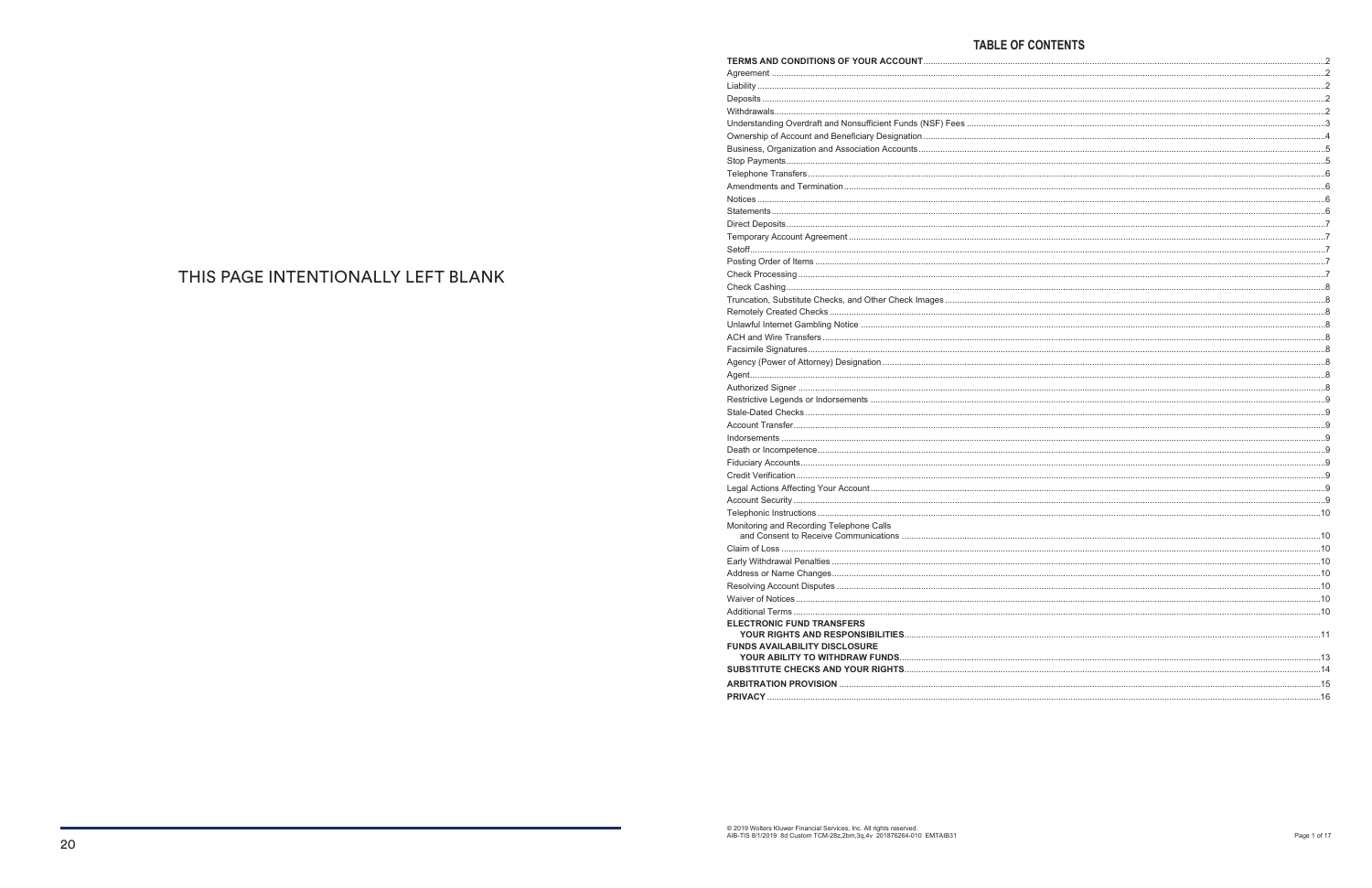| Understanding Overdraft and Nonsufficient Funds (NSF) Fees |
|------------------------------------------------------------|
|                                                            |
|                                                            |
|                                                            |
|                                                            |
|                                                            |
|                                                            |
|                                                            |
|                                                            |
|                                                            |
|                                                            |
|                                                            |
|                                                            |
|                                                            |
| Truncation, Substitute Checks, and Other Check Images      |
|                                                            |
|                                                            |
|                                                            |
|                                                            |
|                                                            |
|                                                            |
|                                                            |
|                                                            |
|                                                            |
|                                                            |
|                                                            |
|                                                            |
|                                                            |
|                                                            |
|                                                            |
|                                                            |
|                                                            |
| Monitoring and Recording Telephone Calls                   |
|                                                            |
|                                                            |
|                                                            |
|                                                            |
|                                                            |
|                                                            |
| <b>ELECTRONIC FUND TRANSFERS</b>                           |
|                                                            |
| <b>FUNDS AVAILABILITY DISCLOSURE</b>                       |
|                                                            |
|                                                            |
|                                                            |
|                                                            |
|                                                            |

## THIS PAGE INTENTIONALLY LEFT BLANK

#### **TABLE OF CONTENTS**

| $\sim$ 15 |  |
|-----------|--|
|           |  |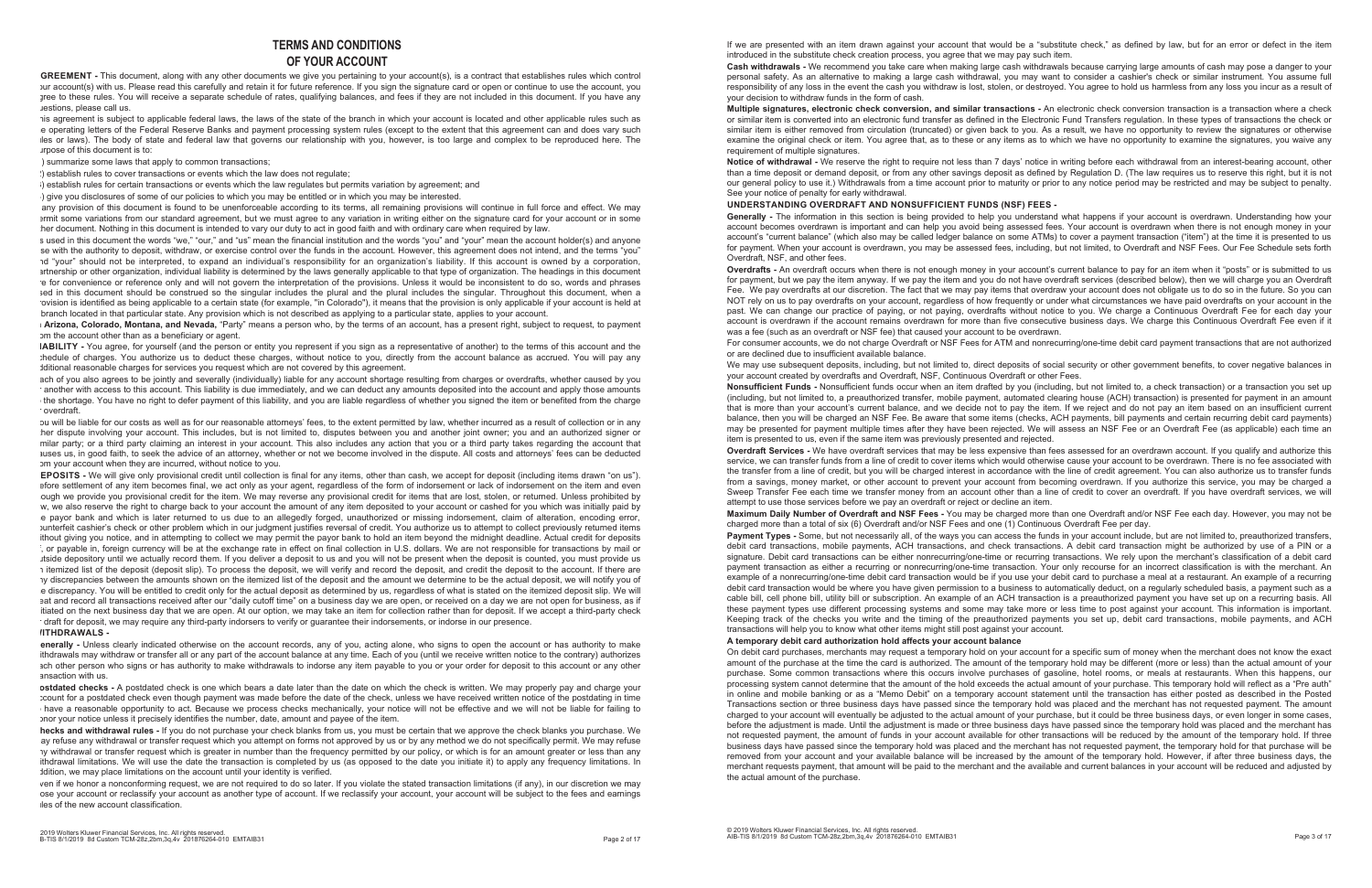#### **TERMS AND CONDITIONS OF YOUR ACCOUNT**

**AGREEMENT -** This document, along with any other documents we give you pertaining to your account(s), is a contract that establishes rules which control your account(s) with us. Please read this carefully and retain it for future reference. If you sign the signature card or open or continue to use the account, you aree to these rules. You will receive a separate schedule of rates, qualifying balances, and fees if they are not included in this document. If you have any questions, please call us.

his agreement is subject to applicable federal laws, the laws of the state of the branch in which your account is located and other applicable rules such as e operating letters of the Federal Reserve Banks and payment processing system rules (except to the extent that this agreement can and does vary such rules or laws). The body of state and federal law that governs our relationship with you, however, is too large and complex to be reproduced here. The purpose of this document is to:

) summarize some laws that apply to common transactions;

(2) establish rules to cover transactions or events which the law does not regulate;

(3) establish rules for certain transactions or events which the law regulates but permits variation by agreement; and

(4) give you disclosures of some of our policies to which you may be entitled or in which you may be interested.

any provision of this document is found to be unenforceable according to its terms, all remaining provisions will continue in full force and effect. We may permit some variations from our standard agreement, but we must agree to any variation in writing either on the signature card for your account or in some her document. Nothing in this document is intended to vary our duty to act in good faith and with ordinary care when required by law.

s used in this document the words "we," "our," and "us" mean the financial institution and the words "you" and "your" mean the account holder(s) and anyone se with the authority to deposit, withdraw, or exercise control over the funds in the account. However, this agreement does not intend, and the terms "you" and "your" should not be interpreted, to expand an individual's responsibility for an organization's liability. If this account is owned by a corporation, artnership or other organization, individual liability is determined by the laws generally applicable to that type of organization. The headings in this document are for convenience or reference only and will not govern the interpretation of the provisions. Unless it would be inconsistent to do so, words and phrases sed in this document should be construed so the singular includes the plural and the plural includes the singular. Throughout this document, when a ovision is identified as being applicable to a certain state (for example, "in Colorado"), it means that the provision is only applicable if your account is held at branch located in that particular state. Any provision which is not described as applying to a particular state, applies to your account.

**In Arizona, Colorado, Montana, and Nevada,** "Party" means a person who, by the terms of an account, has a present right, subject to request, to payment om the account other than as a beneficiary or agent.

**LIABILITY -** You agree, for yourself (and the person or entity you represent if you sign as a representative of another) to the terms of this account and the chedule of charges. You authorize us to deduct these charges, without notice to you, directly from the account balance as accrued. You will pay any dditional reasonable charges for services you request which are not covered by this agreement.

ach of you also agrees to be jointly and severally (individually) liable for any account shortage resulting from charges or overdrafts, whether caused by you another with access to this account. This liability is due immediately, and we can deduct any amounts deposited into the account and apply those amounts the shortage. You have no right to defer payment of this liability, and you are liable regardless of whether you signed the item or benefited from the charge or overdraft.

ou will be liable for our costs as well as for our reasonable attorneys' fees, to the extent permitted by law, whether incurred as a result of collection or in any her dispute involving your account. This includes, but is not limited to, disputes between you and another joint owner; you and an authorized signer or milar party; or a third party claiming an interest in your account. This also includes any action that you or a third party takes regarding the account that auses us, in good faith, to seek the advice of an attorney, whether or not we become involved in the dispute. All costs and attorneys' fees can be deducted om your account when they are incurred, without notice to you.

**DEPOSITS -** We will give only provisional credit until collection is final for any items, other than cash, we accept for deposit (including items drawn "on us"). efore settlement of any item becomes final, we act only as your agent, regardless of the form of indorsement or lack of indorsement on the item and even ough we provide you provisional credit for the item. We may reverse any provisional credit for items that are lost, stolen, or returned. Unless prohibited by w, we also reserve the right to charge back to your account the amount of any item deposited to your account or cashed for you which was initially paid by e payor bank and which is later returned to us due to an allegedly forged, unauthorized or missing indorsement, claim of alteration, encoding error, counterfeit cashier's check or other problem which in our judgment justifies reversal of credit. You authorize us to attempt to collect previously returned items ithout giving you notice, and in attempting to collect we may permit the payor bank to hold an item beyond the midnight deadline. Actual credit for deposits ; or payable in, foreign currency will be at the exchange rate in effect on final collection in U.S. dollars. We are not responsible for transactions by mail or itside depository until we actually record them. If you deliver a deposit to us and you will not be present when the deposit is counted, you must provide us 1) itemized list of the deposit (deposit slip). To process the deposit, we will verify and record the deposit, and credit the deposit to the account. If there are any discrepancies between the amounts shown on the itemized list of the deposit and the amount we determine to be the actual deposit, we will notify you of e discrepancy. You will be entitled to credit only for the actual deposit as determined by us, regardless of what is stated on the itemized deposit slip. We will eat and record all transactions received after our "daily cutoff time" on a business day we are open, or received on a day we are not open for business, as if itiated on the next business day that we are open. At our option, we may take an item for collection rather than for deposit. If we accept a third-party check draft for deposit, we may require any third-party indorsers to verify or quarantee their indorsements, or indorse in our presence.

#### *IITHDRAWALS -*

**Generally -** Unless clearly indicated otherwise on the account records, any of you, acting alone, who signs to open the account or has authority to make ithdrawals may withdraw or transfer all or any part of the account balance at any time. Each of you (until we receive written notice to the contrary) authorizes ach other person who signs or has authority to make withdrawals to indorse any item payable to you or your order for deposit to this account or any other ansaction with us.

**Postdated checks -** A postdated check is one which bears a date later than the date on which the check is written. We may properly pay and charge your count for a postdated check even though payment was made before the date of the check, unless we have received written notice of the postdating in time have a reasonable opportunity to act. Because we process checks mechanically, your notice will not be effective and we will not be liable for failing to hor your notice unless it precisely identifies the number, date, amount and payee of the item.

**Checks and withdrawal rules -** If you do not purchase your check blanks from us, you must be certain that we approve the check blanks you purchase. We ay refuse any withdrawal or transfer request which you attempt on forms not approved by us or by any method we do not specifically permit. We may refuse ay withdrawal or transfer request which is greater in number than the frequency permitted by our policy, or which is for an amount greater or less than any ithdrawal limitations. We will use the date the transaction is completed by us (as opposed to the date you initiate it) to apply any frequency limitations. In dition, we may place limitations on the account until your identity is verified.

ven if we honor a nonconforming request, we are not required to do so later. If you violate the stated transaction limitations (if any), in our discretion we may ose your account or reclassify your account as another type of account. If we reclassify your account, your account will be subject to the fees and earnings  $r$  les of the new account classification.

If we are presented with an item drawn against your account that would be a "substitute check," as defined by law, but for an error or defect in the item introduced in the substitute check creation process, you agree that we may pay such item.

Generally - The information in this section is being provided to help you understand what happens if your account is overdrawn. Understanding how your account becomes overdrawn is important and can help you avoid being assessed fees. Your account is overdrawn when there is not enough money in your account's "current balance" (which also may be called ledger balance on some ATMs) to cover a payment transaction ("item") at the time it is presented to us for payment. When your account is overdrawn, you may be assessed fees, including, but not limited, to Overdraft and NSF Fees. Our Fee Schedule sets forth Overdraft, NSF, and other fees.

We may use subsequent deposits, including, but not limited to, direct deposits of social security or other government benefits, to cover negative balances in your account created by overdrafts and Overdraft, NSF, Continuous Overdraft or other Fees. **Nonsufficient Funds -** Nonsufficient funds occur when an item drafted by you (including, but not limited to, a check transaction) or a transaction you set up (including, but not limited to, a preauthorized transfer, mobile payment, automated clearing house (ACH) transaction) is presented for payment in an amount that is more than your account's current balance, and we decide not to pay the item. If we reject and do not pay an item based on an insufficient current balance, then you will be charged an NSF Fee. Be aware that some items (checks, ACH payments, bill payments and certain recurring debit card payments) may be presented for payment multiple times after they have been rejected. We will assess an NSF Fee or an Overdraft Fee (as applicable) each time an item is presented to us, even if the same item was previously presented and rejected. **Overdraft Services -** We have overdraft services that may be less expensive than fees assessed for an overdrawn account. If you qualify and authorize this service, we can transfer funds from a line of credit to cover items which would otherwise cause your account to be overdrawn. There is no fee associated with the transfer from a line of credit, but you will be charged interest in accordance with the line of credit agreement. You can also authorize us to transfer funds from a savings, money market, or other account to prevent your account from becoming overdrawn. If you authorize this service, you may be charged a Sweep Transfer Fee each time we transfer money from an account other than a line of credit to cover an overdraft. If you have overdraft services, we will attempt to use those services before we pay an overdraft or reject or decline an item. **Maximum Daily Number of Overdraft and NSF Fees -** You may be charged more than one Overdraft and/or NSF Fee each day. However, you may not be charged more than a total of six (6) Overdraft and/or NSF Fees and one (1) Continuous Overdraft Fee per day. Payment Types - Some, but not necessarily all, of the ways you can access the funds in your account include, but are not limited to, preauthorized transfers, debit card transactions, mobile payments, ACH transactions, and check transactions. A debit card transaction might be authorized by use of a PIN or a signature. Debit card transactions can be either nonrecurring/one-time or recurring transactions. We rely upon the merchant's classification of a debit card payment transaction as either a recurring or nonrecurring/one-time transaction. Your only recourse for an incorrect classification is with the merchant. An example of a nonrecurring/one-time debit card transaction would be if you use your debit card to purchase a meal at a restaurant. An example of a recurring debit card transaction would be where you have given permission to a business to automatically deduct, on a regularly scheduled basis, a payment such as a cable bill, cell phone bill, utility bill or subscription. An example of an ACH transaction is a preauthorized payment you have set up on a recurring basis. All these payment types use different processing systems and some may take more or less time to post against your account. This information is important. Keeping track of the checks you write and the timing of the preauthorized payments you set up, debit card transactions, mobile payments, and ACH transactions will help you to know what other items might still post against your account. **A temporary debit card authorization hold affects your account balance**  On debit card purchases, merchants may request a temporary hold on your account for a specific sum of money when the merchant does not know the exact amount of the purchase at the time the card is authorized. The amount of the temporary hold may be different (more or less) than the actual amount of your purchase. Some common transactions where this occurs involve purchases of gasoline, hotel rooms, or meals at restaurants. When this happens, our processing system cannot determine that the amount of the hold exceeds the actual amount of your purchase. This temporary hold will reflect as a "Pre auth" in online and mobile banking or as a "Memo Debit" on a temporary account statement until the transaction has either posted as described in the Posted Transactions section or three business days have passed since the temporary hold was placed and the merchant has not requested payment. The amount charged to your account will eventually be adjusted to the actual amount of your purchase, but it could be three business days, or even longer in some cases, before the adjustment is made. Until the adjustment is made or three business days have passed since the temporary hold was placed and the merchant has not requested payment, the amount of funds in your account available for other transactions will be reduced by the amount of the temporary hold. If three business days have passed since the temporary hold was placed and the merchant has not requested payment, the temporary hold for that purchase will be removed from your account and your available balance will be increased by the amount of the temporary hold. However, if after three business days, the merchant requests payment, that amount will be paid to the merchant and the available and current balances in your account will be reduced and adjusted by the actual amount of the purchase.

**Cash withdrawals -** We recommend you take care when making large cash withdrawals because carrying large amounts of cash may pose a danger to your personal safety. As an alternative to making a large cash withdrawal, you may want to consider a cashier's check or similar instrument. You assume full responsibility of any loss in the event the cash you withdraw is lost, stolen, or destroyed. You agree to hold us harmless from any loss you incur as a result of your decision to withdraw funds in the form of cash.

**Multiple signatures, electronic check conversion, and similar transactions -** An electronic check conversion transaction is a transaction where a check or similar item is converted into an electronic fund transfer as defined in the Electronic Fund Transfers regulation. In these types of transactions the check or similar item is either removed from circulation (truncated) or given back to you. As a result, we have no opportunity to review the signatures or otherwise examine the original check or item. You agree that, as to these or any items as to which we have no opportunity to examine the signatures, you waive any requirement of multiple signatures.

**Notice of withdrawal -** We reserve the right to require not less than 7 days' notice in writing before each withdrawal from an interest-bearing account, other than a time deposit or demand deposit, or from any other savings deposit as defined by Regulation D. (The law requires us to reserve this right, but it is not our general policy to use it.) Withdrawals from a time account prior to maturity or prior to any notice period may be restricted and may be subject to penalty. See your notice of penalty for early withdrawal.

**UNDERSTANDING OVERDRAFT AND NONSUFFICIENT FUNDS (NSF) FEES -** 

**Overdrafts -** An overdraft occurs when there is not enough money in your account's current balance to pay for an item when it "posts" or is submitted to us for payment, but we pay the item anyway. If we pay the item and you do not have overdraft services (described below), then we will charge you an Overdraft Fee. We pay overdrafts at our discretion. The fact that we may pay items that overdraw your account does not obligate us to do so in the future. So you can NOT rely on us to pay overdrafts on your account, regardless of how frequently or under what circumstances we have paid overdrafts on your account in the past. We can change our practice of paying, or not paying, overdrafts without notice to you. We charge a Continuous Overdraft Fee for each day your account is overdrawn if the account remains overdrawn for more than five consecutive business days. We charge this Continuous Overdraft Fee even if it was a fee (such as an overdraft or NSF fee) that caused your account to be overdrawn. For consumer accounts, we do not charge Overdraft or NSF Fees for ATM and nonrecurring/one-time debit card payment transactions that are not authorized or are declined due to insufficient available balance.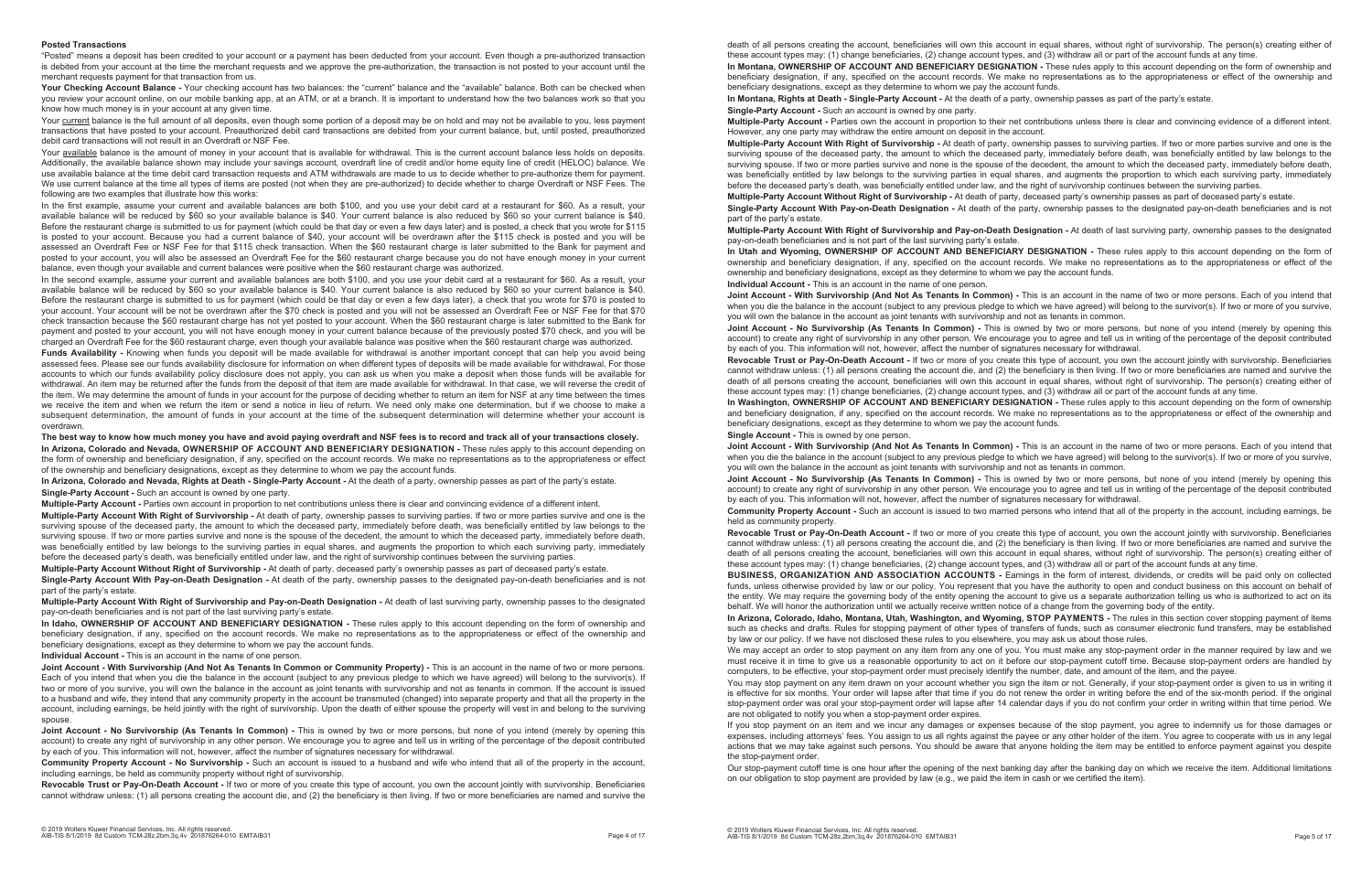#### **Posted Transactions**

"Posted" means a deposit has been credited to your account or a payment has been deducted from your account. Even though a pre-authorized transaction is debited from your account at the time the merchant requests and we approve the pre-authorization, the transaction is not posted to your account until the merchant requests payment for that transaction from us.

Your Checking Account Balance - Your checking account has two balances: the "current" balance and the "available" balance. Both can be checked when you review your account online, on our mobile banking app, at an ATM, or at a branch. It is important to understand how the two balances work so that you know how much money is in your account at any given time.

Your current balance is the full amount of all deposits, even though some portion of a deposit may be on hold and may not be available to you, less payment transactions that have posted to your account. Preauthorized debit card transactions are debited from your current balance, but, until posted, preauthorized debit card transactions will not result in an Overdraft or NSF Fee.

Your available balance is the amount of money in your account that is available for withdrawal. This is the current account balance less holds on deposits. Additionally, the available balance shown may include your savings account, overdraft line of credit and/or home equity line of credit (HELOC) balance. We use available balance at the time debit card transaction requests and ATM withdrawals are made to us to decide whether to pre-authorize them for payment. We use current balance at the time all types of items are posted (not when they are pre-authorized) to decide whether to charge Overdraft or NSF Fees. The following are two examples that illustrate how this works:

In the second example, assume your current and available balances are both \$100, and you use your debit card at a restaurant for \$60. As a result, your available balance will be reduced by \$60 so your available balance is \$40. Your current balance is also reduced by \$60 so your current balance is \$40. Before the restaurant charge is submitted to us for payment (which could be that day or even a few days later), a check that you wrote for \$70 is posted to your account. Your account will be not be overdrawn after the \$70 check is posted and you will not be assessed an Overdraft Fee or NSF Fee for that \$70 check transaction because the \$60 restaurant charge has not yet posted to your account. When the \$60 restaurant charge is later submitted to the Bank for payment and posted to your account, you will not have enough money in your current balance because of the previously posted \$70 check, and you will be charged an Overdraft Fee for the \$60 restaurant charge, even though your available balance was positive when the \$60 restaurant charge was authorized.

In the first example, assume your current and available balances are both \$100, and you use your debit card at a restaurant for \$60. As a result, your available balance will be reduced by \$60 so your available balance is \$40. Your current balance is also reduced by \$60 so your current balance is \$40. Before the restaurant charge is submitted to us for payment (which could be that day or even a few days later) and is posted, a check that you wrote for \$115 is posted to your account. Because you had a current balance of \$40, your account will be overdrawn after the \$115 check is posted and you will be assessed an Overdraft Fee or NSF Fee for that \$115 check transaction. When the \$60 restaurant charge is later submitted to the Bank for payment and posted to your account, you will also be assessed an Overdraft Fee for the \$60 restaurant charge because you do not have enough money in your current balance, even though your available and current balances were positive when the \$60 restaurant charge was authorized.

Funds Availability - Knowing when funds you deposit will be made available for withdrawal is another important concept that can help you avoid being assessed fees. Please see our funds availability disclosure for information on when different types of deposits will be made available for withdrawal. For those accounts to which our funds availability policy disclosure does not apply, you can ask us when you make a deposit when those funds will be available for withdrawal. An item may be returned after the funds from the deposit of that item are made available for withdrawal. In that case, we will reverse the credit of the item. We may determine the amount of funds in your account for the purpose of deciding whether to return an item for NSF at any time between the times we receive the item and when we return the item or send a notice in lieu of return. We need only make one determination, but if we choose to make a subsequent determination, the amount of funds in your account at the time of the subsequent determination will determine whether your account is overdrawn.

**The best way to know how much money you have and avoid paying overdraft and NSF fees is to record and track all of your transactions closely. In Arizona, Colorado and Nevada, OWNERSHIP OF ACCOUNT AND BENEFICIARY DESIGNATION -** These rules apply to this account depending on the form of ownership and beneficiary designation, if any, specified on the account records. We make no representations as to the appropriateness or effect of the ownership and beneficiary designations, except as they determine to whom we pay the account funds.

**In Arizona, Colorado and Nevada, Rights at Death - Single-Party Account -** At the death of a party, ownership passes as part of the party's estate. **Single-Party Account -** Such an account is owned by one party.

**Multiple-Party Account -** Parties own account in proportion to net contributions unless there is clear and convincing evidence of a different intent.

**Multiple-Party Account With Right of Survivorship -** At death of party, ownership passes to surviving parties. If two or more parties survive and one is the surviving spouse of the deceased party, the amount to which the deceased party, immediately before death, was beneficially entitled by law belongs to the surviving spouse. If two or more parties survive and none is the spouse of the decedent, the amount to which the deceased party, immediately before death, was beneficially entitled by law belongs to the surviving parties in equal shares, and augments the proportion to which each surviving party, immediately before the deceased party's death, was beneficially entitled under law, and the right of survivorship continues between the surviving parties.

**Multiple-Party Account Without Right of Survivorship -** At death of party, deceased party's ownership passes as part of deceased party's estate. **Single-Party Account With Pay-on-Death Designation -** At death of the party, ownership passes to the designated pay-on-death beneficiaries and is not

part of the party's estate.

**Multiple-Party Account With Right of Survivorship and Pay-on-Death Designation -** At death of last surviving party, ownership passes to the designated pay-on-death beneficiaries and is not part of the last surviving party's estate.

**In Idaho, OWNERSHIP OF ACCOUNT AND BENEFICIARY DESIGNATION -** These rules apply to this account depending on the form of ownership and beneficiary designation, if any, specified on the account records. We make no representations as to the appropriateness or effect of the ownership and beneficiary designations, except as they determine to whom we pay the account funds.

**Individual Account -** This is an account in the name of one person.

**Joint Account - With Survivorship (And Not As Tenants In Common or Community Property) -** This is an account in the name of two or more persons. Each of you intend that when you die the balance in the account (subject to any previous pledge to which we have agreed) will belong to the survivor(s). If two or more of you survive, you will own the balance in the account as joint tenants with survivorship and not as tenants in common. If the account is issued to a husband and wife, they intend that any community property in the account be transmuted (changed) into separate property and that all the property in the account, including earnings, be held jointly with the right of survivorship. Upon the death of either spouse the property will vest in and belong to the surviving spouse.

**Joint Account - No Survivorship (As Tenants In Common) -** This is owned by two or more persons, but none of you intend (merely by opening this account) to create any right of survivorship in any other person. We encourage you to agree and tell us in writing of the percentage of the deposit contributed by each of you. This information will not, however, affect the number of signatures necessary for withdrawal.

**Community Property Account - No Survivorship -** Such an account is issued to a husband and wife who intend that all of the property in the account, including earnings, be held as community property without right of survivorship.

**Revocable Trust or Pay-On-Death Account -** If two or more of you create this type of account, you own the account jointly with survivorship. Beneficiaries cannot withdraw unless: (1) all persons creating the account die, and (2) the beneficiary is then living. If two or more beneficiaries are named and survive the

death of all persons creating the account, beneficiaries will own this account in equal shares, without right of survivorship. The person(s) creating either of these account types may: (1) change beneficiaries, (2) change account types, and (3) withdraw all or part of the account funds at any time. **In Montana, OWNERSHIP OF ACCOUNT AND BENEFICIARY DESIGNATION -** These rules apply to this account depending on the form of ownership and beneficiary designation, if any, specified on the account records. We make no representations as to the appropriateness or effect of the ownership and beneficiary designations, except as they determine to whom we pay the account funds. **In Montana, Rights at Death - Single-Party Account -** At the death of a party, ownership passes as part of the party's estate. **Single-Party Account -** Such an account is owned by one party.

**Multiple-Party Account -** Parties own the account in proportion to their net contributions unless there is clear and convincing evidence of a different intent. However, any one party may withdraw the entire amount on deposit in the account. **Multiple-Party Account With Right of Survivorship -** At death of party, ownership passes to surviving parties. If two or more parties survive and one is the surviving spouse of the deceased party, the amount to which the deceased party, immediately before death, was beneficially entitled by law belongs to the surviving spouse. If two or more parties survive and none is the spouse of the decedent, the amount to which the deceased party, immediately before death, was beneficially entitled by law belongs to the surviving parties in equal shares, and augments the proportion to which each surviving party, immediately before the deceased party's death, was beneficially entitled under law, and the right of survivorship continues between the surviving parties. **Multiple-Party Account Without Right of Survivorship -** At death of party, deceased party's ownership passes as part of deceased party's estate. **Single-Party Account With Pay-on-Death Designation -** At death of the party, ownership passes to the designated pay-on-death beneficiaries and is not part of the party's estate.

**Multiple-Party Account With Right of Survivorship and Pay-on-Death Designation -** At death of last surviving party, ownership passes to the designated pay-on-death beneficiaries and is not part of the last surviving party's estate. **In Utah and Wyoming, OWNERSHIP OF ACCOUNT AND BENEFICIARY DESIGNATION -** These rules apply to this account depending on the form of ownership and beneficiary designation, if any, specified on the account records. We make no representations as to the appropriateness or effect of the ownership and beneficiary designations, except as they determine to whom we pay the account funds. **Individual Account -** This is an account in the name of one person.

**Joint Account - With Survivorship (And Not As Tenants In Common) -** This is an account in the name of two or more persons. Each of you intend that when you die the balance in the account (subject to any previous pledge to which we have agreed) will belong to the survivor(s). If two or more of you survive, you will own the balance in the account as joint tenants with survivorship and not as tenants in common. **Joint Account - No Survivorship (As Tenants In Common) -** This is owned by two or more persons, but none of you intend (merely by opening this account) to create any right of survivorship in any other person. We encourage you to agree and tell us in writing of the percentage of the deposit contributed by each of you. This information will not, however, affect the number of signatures necessary for withdrawal. **Revocable Trust or Pay-On-Death Account -** If two or more of you create this type of account, you own the account jointly with survivorship. Beneficiaries cannot withdraw unless: (1) all persons creating the account die, and (2) the beneficiary is then living. If two or more beneficiaries are named and survive the death of all persons creating the account, beneficiaries will own this account in equal shares, without right of survivorship. The person(s) creating either of these account types may: (1) change beneficiaries, (2) change account types, and (3) withdraw all or part of the account funds at any time. In Washington, OWNERSHIP OF ACCOUNT AND BENEFICIARY DESIGNATION - These rules apply to this account depending on the form of ownership and beneficiary designation, if any, specified on the account records. We make no representations as to the appropriateness or effect of the ownership and beneficiary designations, except as they determine to whom we pay the account funds.

**Single Account -** This is owned by one person.

**Joint Account - With Survivorship (And Not As Tenants In Common) -** This is an account in the name of two or more persons. Each of you intend that when you die the balance in the account (subject to any previous pledge to which we have agreed) will belong to the survivor(s). If two or more of you survive, you will own the balance in the account as joint tenants with survivorship and not as tenants in common. **Joint Account - No Survivorship (As Tenants In Common) -** This is owned by two or more persons, but none of you intend (merely by opening this account) to create any right of survivorship in any other person. We encourage you to agree and tell us in writing of the percentage of the deposit contributed by each of you. This information will not, however, affect the number of signatures necessary for withdrawal. **Community Property Account -** Such an account is issued to two married persons who intend that all of the property in the account, including earnings, be held as community property.

**Revocable Trust or Pay-On-Death Account -** If two or more of you create this type of account, you own the account jointly with survivorship. Beneficiaries cannot withdraw unless: (1) all persons creating the account die, and (2) the beneficiary is then living. If two or more beneficiaries are named and survive the death of all persons creating the account, beneficiaries will own this account in equal shares, without right of survivorship. The person(s) creating either of these account types may: (1) change beneficiaries, (2) change account types, and (3) withdraw all or part of the account funds at any time. **BUSINESS, ORGANIZATION AND ASSOCIATION ACCOUNTS -** Earnings in the form of interest, dividends, or credits will be paid only on collected funds, unless otherwise provided by law or our policy. You represent that you have the authority to open and conduct business on this account on behalf of the entity. We may require the governing body of the entity opening the account to give us a separate authorization telling us who is authorized to act on its behalf. We will honor the authorization until we actually receive written notice of a change from the governing body of the entity. **In Arizona, Colorado, Idaho, Montana, Utah, Washington, and Wyoming, STOP PAYMENTS -** The rules in this section cover stopping payment of items such as checks and drafts. Rules for stopping payment of other types of transfers of funds, such as consumer electronic fund transfers, may be established by law or our policy. If we have not disclosed these rules to you elsewhere, you may ask us about those rules. We may accept an order to stop payment on any item from any one of you. You must make any stop-payment order in the manner required by law and we must receive it in time to give us a reasonable opportunity to act on it before our stop-payment cutoff time. Because stop-payment orders are handled by computers, to be effective, your stop-payment order must precisely identify the number, date, and amount of the item, and the payee. You may stop payment on any item drawn on your account whether you sign the item or not. Generally, if your stop-payment order is given to us in writing it is effective for six months. Your order will lapse after that time if you do not renew the order in writing before the end of the six-month period. If the original stop-payment order was oral your stop-payment order will lapse after 14 calendar days if you do not confirm your order in writing within that time period. We are not obligated to notify you when a stop-payment order expires.

If you stop payment on an item and we incur any damages or expenses because of the stop payment, you agree to indemnify us for those damages or expenses, including attorneys' fees. You assign to us all rights against the payee or any other holder of the item. You agree to cooperate with us in any legal actions that we may take against such persons. You should be aware that anyone holding the item may be entitled to enforce payment against you despite the stop-payment order.

Our stop-payment cutoff time is one hour after the opening of the next banking day after the banking day on which we receive the item. Additional limitations on our obligation to stop payment are provided by law (e.g., we paid the item in cash or we certified the item).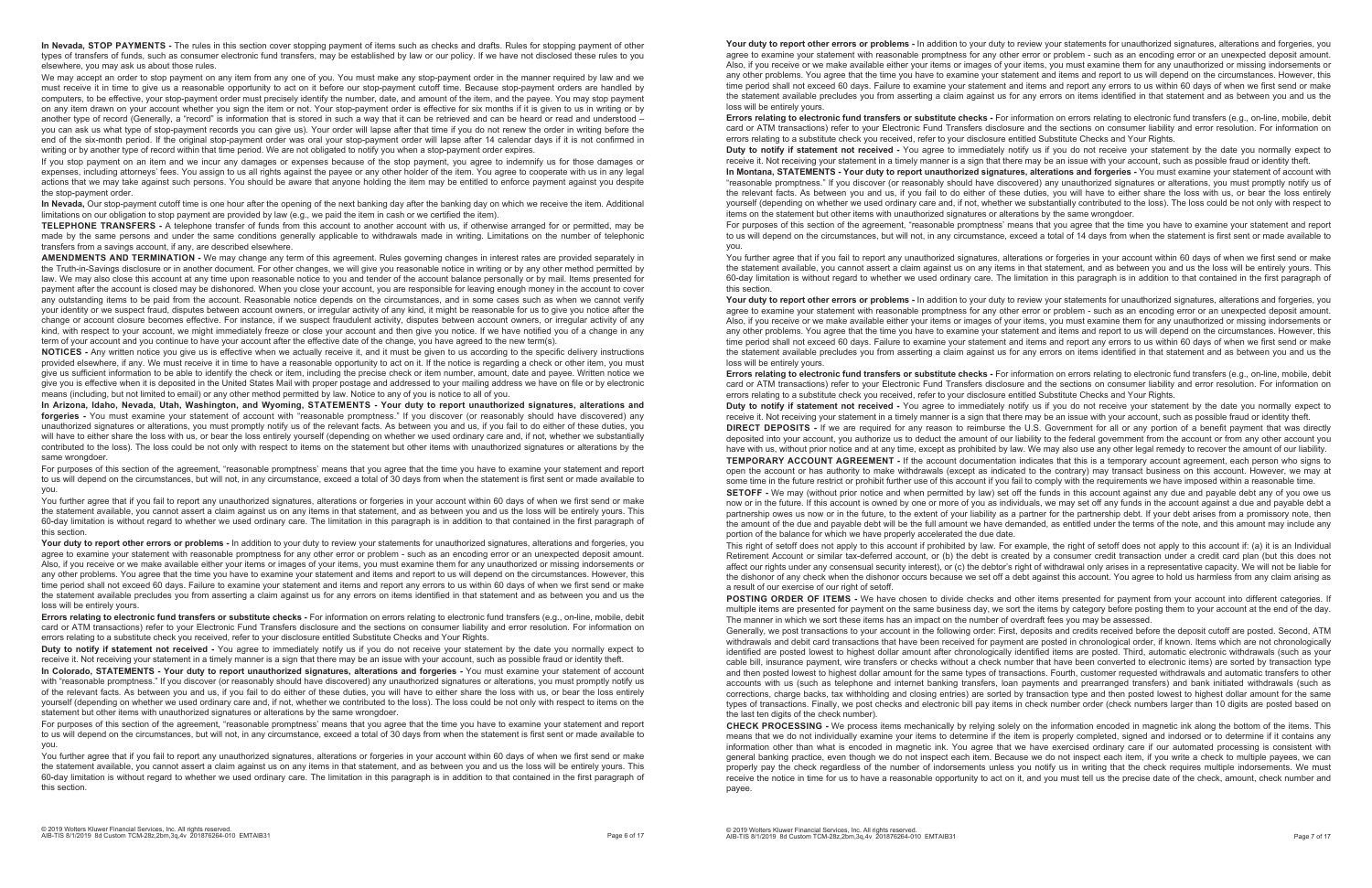**In Nevada, STOP PAYMENTS -** The rules in this section cover stopping payment of items such as checks and drafts. Rules for stopping payment of other types of transfers of funds, such as consumer electronic fund transfers, may be established by law or our policy. If we have not disclosed these rules to you elsewhere, you may ask us about those rules.

We may accept an order to stop payment on any item from any one of you. You must make any stop-payment order in the manner required by law and we must receive it in time to give us a reasonable opportunity to act on it before our stop-payment cutoff time. Because stop-payment orders are handled by computers, to be effective, your stop-payment order must precisely identify the number, date, and amount of the item, and the payee. You may stop payment on any item drawn on your account whether you sign the item or not. Your stop-payment order is effective for six months if it is given to us in writing or by another type of record (Generally, a "record" is information that is stored in such a way that it can be retrieved and can be heard or read and understood – you can ask us what type of stop-payment records you can give us). Your order will lapse after that time if you do not renew the order in writing before the end of the six-month period. If the original stop-payment order was oral your stop-payment order will lapse after 14 calendar days if it is not confirmed in writing or by another type of record within that time period. We are not obligated to notify you when a stop-payment order expires.

If you stop payment on an item and we incur any damages or expenses because of the stop payment, you agree to indemnify us for those damages or expenses, including attorneys' fees. You assign to us all rights against the payee or any other holder of the item. You agree to cooperate with us in any legal actions that we may take against such persons. You should be aware that anyone holding the item may be entitled to enforce payment against you despite the stop-payment order.

**NOTICES -** Any written notice you give us is effective when we actually receive it, and it must be given to us according to the specific delivery instructions provided elsewhere, if any. We must receive it in time to have a reasonable opportunity to act on it. If the notice is regarding a check or other item, you must give us sufficient information to be able to identify the check or item, including the precise check or item number, amount, date and payee. Written notice we give you is effective when it is deposited in the United States Mail with proper postage and addressed to your mailing address we have on file or by electronic means (including, but not limited to email) or any other method permitted by law. Notice to any of you is notice to all of you.

**In Nevada,** Our stop-payment cutoff time is one hour after the opening of the next banking day after the banking day on which we receive the item. Additional limitations on our obligation to stop payment are provided by law (e.g., we paid the item in cash or we certified the item).

**In Arizona, Idaho, Nevada, Utah, Washington, and Wyoming, STATEMENTS - Your duty to report unauthorized signatures, alterations and forgeries -** You must examine your statement of account with "reasonable promptness." If you discover (or reasonably should have discovered) any unauthorized signatures or alterations, you must promptly notify us of the relevant facts. As between you and us, if you fail to do either of these duties, you will have to either share the loss with us, or bear the loss entirely yourself (depending on whether we used ordinary care and, if not, whether we substantially contributed to the loss). The loss could be not only with respect to items on the statement but other items with unauthorized signatures or alterations by the same wrongdoer

**TELEPHONE TRANSFERS -** A telephone transfer of funds from this account to another account with us, if otherwise arranged for or permitted, may be made by the same persons and under the same conditions generally applicable to withdrawals made in writing. Limitations on the number of telephonic transfers from a savings account, if any, are described elsewhere.

You further agree that if you fail to report any unauthorized signatures, alterations or forgeries in your account within 60 days of when we first send or make the statement available, you cannot assert a claim against us on any items in that statement, and as between you and us the loss will be entirely yours. This 60-day limitation is without regard to whether we used ordinary care. The limitation in this paragraph is in addition to that contained in the first paragraph of this section.

**AMENDMENTS AND TERMINATION -** We may change any term of this agreement. Rules governing changes in interest rates are provided separately in the Truth-in-Savings disclosure or in another document. For other changes, we will give you reasonable notice in writing or by any other method permitted by law. We may also close this account at any time upon reasonable notice to you and tender of the account balance personally or by mail. Items presented for payment after the account is closed may be dishonored. When you close your account, you are responsible for leaving enough money in the account to cover any outstanding items to be paid from the account. Reasonable notice depends on the circumstances, and in some cases such as when we cannot verify your identity or we suspect fraud, disputes between account owners, or irregular activity of any kind, it might be reasonable for us to give you notice after the change or account closure becomes effective. For instance, if we suspect fraudulent activity, disputes between account owners, or irregular activity of any kind, with respect to your account, we might immediately freeze or close your account and then give you notice. If we have notified you of a change in any term of your account and you continue to have your account after the effective date of the change, you have agreed to the new term(s).

Your duty to report other errors or problems - In addition to your duty to review your statements for unauthorized signatures, alterations and forgeries, you agree to examine your statement with reasonable promptness for any other error or problem - such as an encoding error or an unexpected deposit amount. Also, if you receive or we make available either your items or images of your items, you must examine them for any unauthorized or missing indorsements or any other problems. You agree that the time you have to examine your statement and items and report to us will depend on the circumstances. However, this time period shall not exceed 60 days. Failure to examine your statement and items and report any errors to us within 60 days of when we first send or make the statement available precludes you from asserting a claim against us for any errors on items identified in that statement and as between you and us the loss will be entirely yours.

You further agree that if you fail to report any unauthorized signatures, alterations or forgeries in your account within 60 days of when we first send or make the statement available, you cannot assert a claim against us on any items in that statement, and as between you and us the loss will be entirely yours. This 60-day limitation is without regard to whether we used ordinary care. The limitation in this paragraph is in addition to that contained in the first paragraph of this section.

Your duty to report other errors or problems - In addition to your duty to review your statements for unauthorized signatures, alterations and forgeries, you agree to examine your statement with reasonable promptness for any other error or problem - such as an encoding error or an unexpected deposit amount. Also, if you receive or we make available either your items or images of your items, you must examine them for any unauthorized or missing indorsements or any other problems. You agree that the time you have to examine your statement and items and report to us will depend on the circumstances. However, this time period shall not exceed 60 days. Failure to examine your statement and items and report any errors to us within 60 days of when we first send or make the statement available precludes you from asserting a claim against us for any errors on items identified in that statement and as between you and us the loss will be entirely yours.

**Errors relating to electronic fund transfers or substitute checks -** For information on errors relating to electronic fund transfers (e.g., on-line, mobile, debit card or ATM transactions) refer to your Electronic Fund Transfers disclosure and the sections on consumer liability and error resolution. For information on errors relating to a substitute check you received, refer to your disclosure entitled Substitute Checks and Your Rights. **Duty to notify if statement not received -** You agree to immediately notify us if you do not receive your statement by the date you normally expect to receive it. Not receiving your statement in a timely manner is a sign that there may be an issue with your account, such as possible fraud or identity theft. **In Montana, STATEMENTS - Your duty to report unauthorized signatures, alterations and forgeries -** You must examine your statement of account with "reasonable promptness." If you discover (or reasonably should have discovered) any unauthorized signatures or alterations, you must promptly notify us of the relevant facts. As between you and us, if you fail to do either of these duties, you will have to either share the loss with us, or bear the loss entirely yourself (depending on whether we used ordinary care and, if not, whether we substantially contributed to the loss). The loss could be not only with respect to items on the statement but other items with unauthorized signatures or alterations by the same wrongdoer. For purposes of this section of the agreement, "reasonable promptness' means that you agree that the time you have to examine your statement and report to us will depend on the circumstances, but will not, in any circumstance, exceed a total of 14 days from when the statement is first sent or made available to **you** 

For purposes of this section of the agreement, "reasonable promptness' means that you agree that the time you have to examine your statement and report to us will depend on the circumstances, but will not, in any circumstance, exceed a total of 30 days from when the statement is first sent or made available to you.

You further agree that if you fail to report any unauthorized signatures, alterations or forgeries in your account within 60 days of when we first send or make the statement available, you cannot assert a claim against us on any items in that statement, and as between you and us the loss will be entirely yours. This 60-day limitation is without regard to whether we used ordinary care. The limitation in this paragraph is in addition to that contained in the first paragraph of this section.

Your duty to report other errors or problems - In addition to your duty to review your statements for unauthorized signatures, alterations and forgeries, you agree to examine your statement with reasonable promptness for any other error or problem - such as an encoding error or an unexpected deposit amount. Also, if you receive or we make available either your items or images of your items, you must examine them for any unauthorized or missing indorsements or any other problems. You agree that the time you have to examine your statement and items and report to us will depend on the circumstances. However, this time period shall not exceed 60 days. Failure to examine your statement and items and report any errors to us within 60 days of when we first send or make the statement available precludes you from asserting a claim against us for any errors on items identified in that statement and as between you and us the loss will be entirely yours.

**Errors relating to electronic fund transfers or substitute checks -** For information on errors relating to electronic fund transfers (e.g., on-line, mobile, debit card or ATM transactions) refer to your Electronic Fund Transfers disclosure and the sections on consumer liability and error resolution. For information on errors relating to a substitute check you received, refer to your disclosure entitled Substitute Checks and Your Rights.

**Duty to notify if statement not received -** You agree to immediately notify us if you do not receive your statement by the date you normally expect to receive it. Not receiving your statement in a timely manner is a sign that there may be an issue with your account, such as possible fraud or identity theft.

**In Colorado, STATEMENTS - Your duty to report unauthorized signatures, alterations and forgeries -** You must examine your statement of account with "reasonable promptness." If you discover (or reasonably should have discovered) any unauthorized signatures or alterations, you must promptly notify us of the relevant facts. As between you and us, if you fail to do either of these duties, you will have to either share the loss with us, or bear the loss entirely yourself (depending on whether we used ordinary care and, if not, whether we contributed to the loss). The loss could be not only with respect to items on the statement but other items with unauthorized signatures or alterations by the same wrongdoer.

For purposes of this section of the agreement, "reasonable promptness' means that you agree that the time you have to examine your statement and report to us will depend on the circumstances, but will not, in any circumstance, exceed a total of 30 days from when the statement is first sent or made available to you.

POSTING ORDER OF ITEMS - We have chosen to divide checks and other items presented for payment from your account into different categories. If multiple items are presented for payment on the same business day, we sort the items by category before posting them to your account at the end of the day. The manner in which we sort these items has an impact on the number of overdraft fees you may be assessed. Generally, we post transactions to your account in the following order: First, deposits and credits received before the deposit cutoff are posted. Second, ATM withdrawals and debit card transactions that have been received for payment are posted in chronological order, if known. Items which are not chronologically identified are posted lowest to highest dollar amount after chronologically identified items are posted. Third, automatic electronic withdrawals (such as your cable bill, insurance payment, wire transfers or checks without a check number that have been converted to electronic items) are sorted by transaction type and then posted lowest to highest dollar amount for the same types of transactions. Fourth, customer requested withdrawals and automatic transfers to other accounts with us (such as telephone and internet banking transfers, loan payments and prearranged transfers) and bank initiated withdrawals (such as corrections, charge backs, tax withholding and closing entries) are sorted by transaction type and then posted lowest to highest dollar amount for the same types of transactions. Finally, we post checks and electronic bill pay items in check number order (check numbers larger than 10 digits are posted based on the last ten digits of the check number).

**Errors relating to electronic fund transfers or substitute checks -** For information on errors relating to electronic fund transfers (e.g., on-line, mobile, debit card or ATM transactions) refer to your Electronic Fund Transfers disclosure and the sections on consumer liability and error resolution. For information on errors relating to a substitute check you received, refer to your disclosure entitled Substitute Checks and Your Rights. **Duty to notify if statement not received -** You agree to immediately notify us if you do not receive your statement by the date you normally expect to receive it. Not receiving your statement in a timely manner is a sign that there may be an issue with your account, such as possible fraud or identity theft. **DIRECT DEPOSITS -** If we are required for any reason to reimburse the U.S. Government for all or any portion of a benefit payment that was directly deposited into your account, you authorize us to deduct the amount of our liability to the federal government from the account or from any other account you have with us, without prior notice and at any time, except as prohibited by law. We may also use any other legal remedy to recover the amount of our liability. **TEMPORARY ACCOUNT AGREEMENT -** If the account documentation indicates that this is a temporary account agreement, each person who signs to open the account or has authority to make withdrawals (except as indicated to the contrary) may transact business on this account. However, we may at some time in the future restrict or prohibit further use of this account if you fail to comply with the requirements we have imposed within a reasonable time. **SETOFF -** We may (without prior notice and when permitted by law) set off the funds in this account against any due and payable debt any of you owe us now or in the future. If this account is owned by one or more of you as individuals, we may set off any funds in the account against a due and payable debt a partnership owes us now or in the future, to the extent of your liability as a partner for the partnership debt. If your debt arises from a promissory note, then the amount of the due and payable debt will be the full amount we have demanded, as entitled under the terms of the note, and this amount may include any portion of the balance for which we have properly accelerated the due date. This right of setoff does not apply to this account if prohibited by law. For example, the right of setoff does not apply to this account if: (a) it is an Individual Retirement Account or similar tax-deferred account, or (b) the debt is created by a consumer credit transaction under a credit card plan (but this does not affect our rights under any consensual security interest), or (c) the debtor's right of withdrawal only arises in a representative capacity. We will not be liable for the dishonor of any check when the dishonor occurs because we set off a debt against this account. You agree to hold us harmless from any claim arising as a result of our exercise of our right of setoff.

**CHECK PROCESSING -** We process items mechanically by relying solely on the information encoded in magnetic ink along the bottom of the items. This means that we do not individually examine your items to determine if the item is properly completed, signed and indorsed or to determine if it contains any information other than what is encoded in magnetic ink. You agree that we have exercised ordinary care if our automated processing is consistent with general banking practice, even though we do not inspect each item. Because we do not inspect each item, if you write a check to multiple payees, we can properly pay the check regardless of the number of indorsements unless you notify us in writing that the check requires multiple indorsements. We must receive the notice in time for us to have a reasonable opportunity to act on it, and you must tell us the precise date of the check, amount, check number and payee.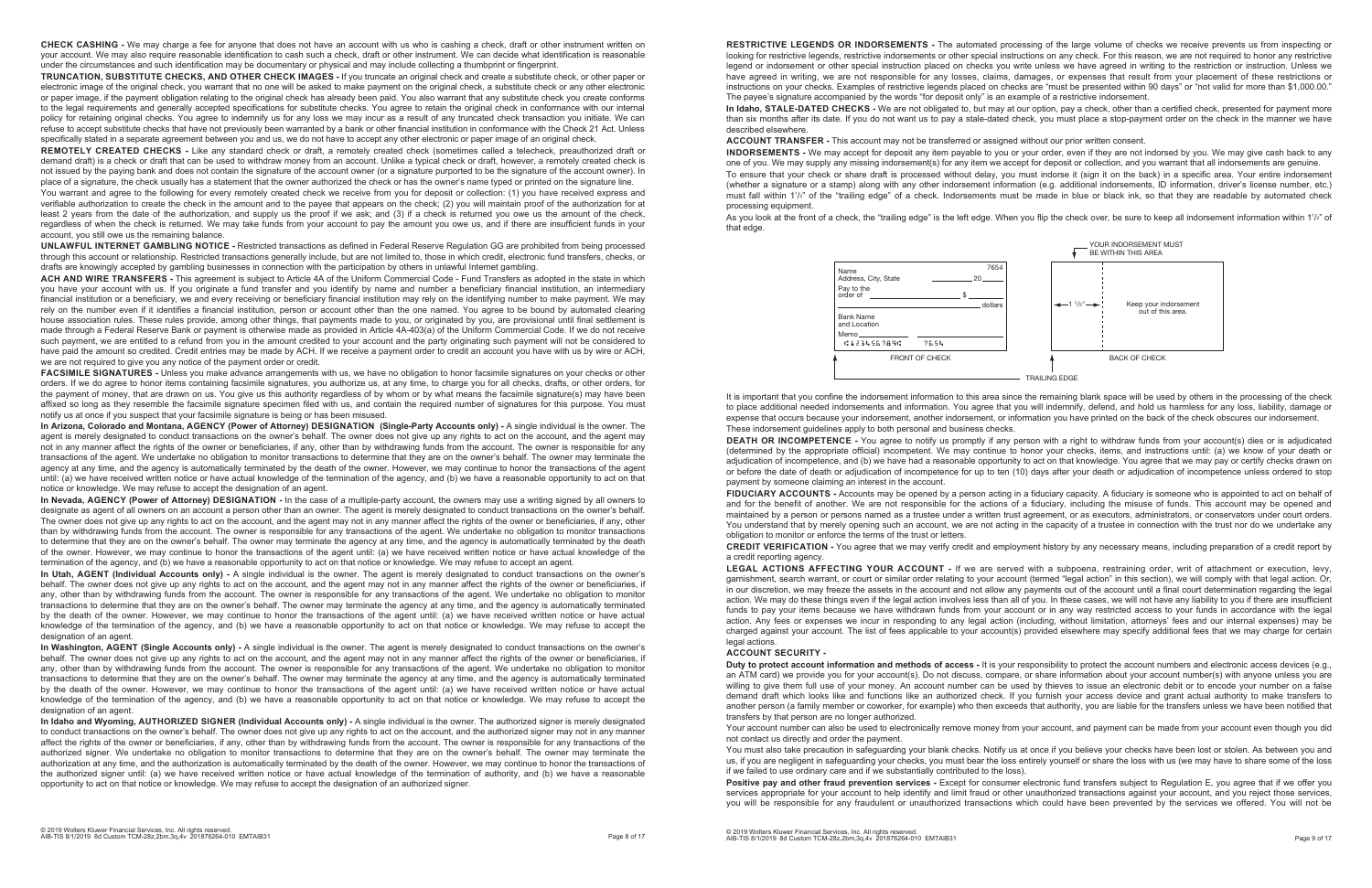**CHECK CASHING -** We may charge a fee for anyone that does not have an account with us who is cashing a check, draft or other instrument written on your account. We may also require reasonable identification to cash such a check, draft or other instrument. We can decide what identification is reasonable under the circumstances and such identification may be documentary or physical and may include collecting a thumbprint or fingerprint.

**TRUNCATION, SUBSTITUTE CHECKS, AND OTHER CHECK IMAGES -** If you truncate an original check and create a substitute check, or other paper or electronic image of the original check, you warrant that no one will be asked to make payment on the original check, a substitute check or any other electronic or paper image, if the payment obligation relating to the original check has already been paid. You also warrant that any substitute check you create conforms to the legal requirements and generally accepted specifications for substitute checks. You agree to retain the original check in conformance with our internal policy for retaining original checks. You agree to indemnify us for any loss we may incur as a result of any truncated check transaction you initiate. We can refuse to accept substitute checks that have not previously been warranted by a bank or other financial institution in conformance with the Check 21 Act. Unless specifically stated in a separate agreement between you and us, we do not have to accept any other electronic or paper image of an original check.

You warrant and agree to the following for every remotely created check we receive from you for deposit or collection: (1) you have received express and verifiable authorization to create the check in the amount and to the payee that appears on the check; (2) you will maintain proof of the authorization for at least 2 years from the date of the authorization, and supply us the proof if we ask; and (3) if a check is returned you owe us the amount of the check, regardless of when the check is returned. We may take funds from your account to pay the amount you owe us, and if there are insufficient funds in your account, you still owe us the remaining balance.

**REMOTELY CREATED CHECKS -** Like any standard check or draft, a remotely created check (sometimes called a telecheck, preauthorized draft or demand draft) is a check or draft that can be used to withdraw money from an account. Unlike a typical check or draft, however, a remotely created check is not issued by the paying bank and does not contain the signature of the account owner (or a signature purported to be the signature of the account owner). In place of a signature, the check usually has a statement that the owner authorized the check or has the owner's name typed or printed on the signature line.

**UNLAWFUL INTERNET GAMBLING NOTICE -** Restricted transactions as defined in Federal Reserve Regulation GG are prohibited from being processed through this account or relationship. Restricted transactions generally include, but are not limited to, those in which credit, electronic fund transfers, checks, or drafts are knowingly accepted by gambling businesses in connection with the participation by others in unlawful Internet gambling.

**ACH AND WIRE TRANSFERS -** This agreement is subject to Article 4A of the Uniform Commercial Code - Fund Transfers as adopted in the state in which you have your account with us. If you originate a fund transfer and you identify by name and number a beneficiary financial institution, an intermediary financial institution or a beneficiary, we and every receiving or beneficiary financial institution may rely on the identifying number to make payment. We may rely on the number even if it identifies a financial institution, person or account other than the one named. You agree to be bound by automated clearing house association rules. These rules provide, among other things, that payments made to you, or originated by you, are provisional until final settlement is made through a Federal Reserve Bank or payment is otherwise made as provided in Article 4A-403(a) of the Uniform Commercial Code. If we do not receive such payment, we are entitled to a refund from you in the amount credited to your account and the party originating such payment will not be considered to have paid the amount so credited. Credit entries may be made by ACH. If we receive a payment order to credit an account you have with us by wire or ACH, we are not required to give you any notice of the payment order or credit.

**FACSIMILE SIGNATURES -** Unless you make advance arrangements with us, we have no obligation to honor facsimile signatures on your checks or other orders. If we do agree to honor items containing facsimile signatures, you authorize us, at any time, to charge you for all checks, drafts, or other orders, for the payment of money, that are drawn on us. You give us this authority regardless of by whom or by what means the facsimile signature(s) may have been affixed so long as they resemble the facsimile signature specimen filed with us, and contain the required number of signatures for this purpose. You must notify us at once if you suspect that your facsimile signature is being or has been misused.

**In Arizona, Colorado and Montana, AGENCY (Power of Attorney) DESIGNATION (Single-Party Accounts only) -** A single individual is the owner. The agent is merely designated to conduct transactions on the owner's behalf. The owner does not give up any rights to act on the account, and the agent may not in any manner affect the rights of the owner or beneficiaries, if any, other than by withdrawing funds from the account. The owner is responsible for any transactions of the agent. We undertake no obligation to monitor transactions to determine that they are on the owner's behalf. The owner may terminate the agency at any time, and the agency is automatically terminated by the death of the owner. However, we may continue to honor the transactions of the agent until: (a) we have received written notice or have actual knowledge of the termination of the agency, and (b) we have a reasonable opportunity to act on that notice or knowledge. We may refuse to accept the designation of an agent.

As you look at the front of a check, the "trailing edge" is the left edge. When you flip the check over, be sure to keep all indorsement information within 1½" of that edge.

**In Nevada, AGENCY (Power of Attorney) DESIGNATION -** In the case of a multiple-party account, the owners may use a writing signed by all owners to designate as agent of all owners on an account a person other than an owner. The agent is merely designated to conduct transactions on the owner's behalf. The owner does not give up any rights to act on the account, and the agent may not in any manner affect the rights of the owner or beneficiaries, if any, other than by withdrawing funds from the account. The owner is responsible for any transactions of the agent. We undertake no obligation to monitor transactions to determine that they are on the owner's behalf. The owner may terminate the agency at any time, and the agency is automatically terminated by the death of the owner. However, we may continue to honor the transactions of the agent until: (a) we have received written notice or have actual knowledge of the termination of the agency, and (b) we have a reasonable opportunity to act on that notice or knowledge. We may refuse to accept an agent.

FIDUCIARY ACCOUNTS - Accounts may be opened by a person acting in a fiduciary capacity. A fiduciary is someone who is appointed to act on behalf of and for the benefit of another. We are not responsible for the actions of a fiduciary, including the misuse of funds. This account may be opened and maintained by a person or persons named as a trustee under a written trust agreement, or as executors, administrators, or conservators under court orders. You understand that by merely opening such an account, we are not acting in the capacity of a trustee in connection with the trust nor do we undertake any obligation to monitor or enforce the terms of the trust or letters.

**In Utah, AGENT (Individual Accounts only) -** A single individual is the owner. The agent is merely designated to conduct transactions on the owner's behalf. The owner does not give up any rights to act on the account, and the agent may not in any manner affect the rights of the owner or beneficiaries, if any, other than by withdrawing funds from the account. The owner is responsible for any transactions of the agent. We undertake no obligation to monitor transactions to determine that they are on the owner's behalf. The owner may terminate the agency at any time, and the agency is automatically terminated by the death of the owner. However, we may continue to honor the transactions of the agent until: (a) we have received written notice or have actual knowledge of the termination of the agency, and (b) we have a reasonable opportunity to act on that notice or knowledge. We may refuse to accept the designation of an agent.

**In Washington, AGENT (Single Accounts only) -** A single individual is the owner. The agent is merely designated to conduct transactions on the owner's behalf. The owner does not give up any rights to act on the account, and the agent may not in any manner affect the rights of the owner or beneficiaries, if any, other than by withdrawing funds from the account. The owner is responsible for any transactions of the agent. We undertake no obligation to monitor transactions to determine that they are on the owner's behalf. The owner may terminate the agency at any time, and the agency is automatically terminated by the death of the owner. However, we may continue to honor the transactions of the agent until: (a) we have received written notice or have actual knowledge of the termination of the agency, and (b) we have a reasonable opportunity to act on that notice or knowledge. We may refuse to accept the designation of an agent.

> You must also take precaution in safeguarding your blank checks. Notify us at once if you believe your checks have been lost or stolen. As between you and us, if you are negligent in safeguarding your checks, you must bear the loss entirely yourself or share the loss with us (we may have to share some of the loss if we failed to use ordinary care and if we substantially contributed to the loss). Positive pay and other fraud prevention services - Except for consumer electronic fund transfers subject to Regulation E, you agree that if we offer you services appropriate for your account to help identify and limit fraud or other unauthorized transactions against your account, and you reject those services, you will be responsible for any fraudulent or unauthorized transactions which could have been prevented by the services we offered. You will not be

**In Idaho and Wyoming, AUTHORIZED SIGNER (Individual Accounts only) -** A single individual is the owner. The authorized signer is merely designated to conduct transactions on the owner's behalf. The owner does not give up any rights to act on the account, and the authorized signer may not in any manner affect the rights of the owner or beneficiaries, if any, other than by withdrawing funds from the account. The owner is responsible for any transactions of the authorized signer. We undertake no obligation to monitor transactions to determine that they are on the owner's behalf. The owner may terminate the authorization at any time, and the authorization is automatically terminated by the death of the owner. However, we may continue to honor the transactions of the authorized signer until: (a) we have received written notice or have actual knowledge of the termination of authority, and (b) we have a reasonable opportunity to act on that notice or knowledge. We may refuse to accept the designation of an authorized signer.

**RESTRICTIVE LEGENDS OR INDORSEMENTS -** The automated processing of the large volume of checks we receive prevents us from inspecting or looking for restrictive legends, restrictive indorsements or other special instructions on any check. For this reason, we are not required to honor any restrictive legend or indorsement or other special instruction placed on checks you write unless we have agreed in writing to the restriction or instruction. Unless we have agreed in writing, we are not responsible for any losses, claims, damages, or expenses that result from your placement of these restrictions or instructions on your checks. Examples of restrictive legends placed on checks are "must be presented within 90 days" or "not valid for more than \$1,000.00." The payee's signature accompanied by the words "for deposit only" is an example of a restrictive indorsement. **In Idaho, STALE-DATED CHECKS -** We are not obligated to, but may at our option, pay a check, other than a certified check, presented for payment more than six months after its date. If you do not want us to pay a stale-dated check, you must place a stop-payment order on the check in the manner we have described elsewhere.

**ACCOUNT TRANSFER -** This account may not be transferred or assigned without our prior written consent. **INDORSEMENTS -** We may accept for deposit any item payable to you or your order, even if they are not indorsed by you. We may give cash back to any one of you. We may supply any missing indorsement(s) for any item we accept for deposit or collection, and you warrant that all indorsements are genuine. To ensure that your check or share draft is processed without delay, you must indorse it (sign it on the back) in a specific area. Your entire indorsement (whether a signature or a stamp) along with any other indorsement information (e.g. additional indorsements, ID information, driver's license number, etc.) must fall within 11 /2" of the "trailing edge" of a check. Indorsements must be made in blue or black ink, so that they are readable by automated check processing equipment.

It is important that you confine the indorsement information to this area since the remaining blank space will be used by others in the processing of the check to place additional needed indorsements and information. You agree that you will indemnify, defend, and hold us harmless for any loss, liability, damage or expense that occurs because your indorsement, another indorsement, or information you have printed on the back of the check obscures our indorsement. These indorsement guidelines apply to both personal and business checks.

**DEATH OR INCOMPETENCE -** You agree to notify us promptly if any person with a right to withdraw funds from your account(s) dies or is adjudicated (determined by the appropriate official) incompetent. We may continue to honor your checks, items, and instructions until: (a) we know of your death or adjudication of incompetence, and (b) we have had a reasonable opportunity to act on that knowledge. You agree that we may pay or certify checks drawn on or before the date of death or adjudication of incompetence for up to ten (10) days after your death or adjudication of incompetence unless ordered to stop payment by someone claiming an interest in the account.

**CREDIT VERIFICATION -** You agree that we may verify credit and employment history by any necessary means, including preparation of a credit report by a credit reporting agency.

**LEGAL ACTIONS AFFECTING YOUR ACCOUNT -** If we are served with a subpoena, restraining order, writ of attachment or execution, levy, garnishment, search warrant, or court or similar order relating to your account (termed "legal action" in this section), we will comply with that legal action. Or, in our discretion, we may freeze the assets in the account and not allow any payments out of the account until a final court determination regarding the legal action. We may do these things even if the legal action involves less than all of you. In these cases, we will not have any liability to you if there are insufficient funds to pay your items because we have withdrawn funds from your account or in any way restricted access to your funds in accordance with the legal action. Any fees or expenses we incur in responding to any legal action (including, without limitation, attorneys' fees and our internal expenses) may be charged against your account. The list of fees applicable to your account(s) provided elsewhere may specify additional fees that we may charge for certain legal actions.

#### **ACCOUNT SECURITY -**

**Duty to protect account information and methods of access -** It is your responsibility to protect the account numbers and electronic access devices (e.g., an ATM card) we provide you for your account(s). Do not discuss, compare, or share information about your account number(s) with anyone unless you are willing to give them full use of your money. An account number can be used by thieves to issue an electronic debit or to encode your number on a false demand draft which looks like and functions like an authorized check. If you furnish your access device and grant actual authority to make transfers to another person (a family member or coworker, for example) who then exceeds that authority, you are liable for the transfers unless we have been notified that transfers by that person are no longer authorized.

Your account number can also be used to electronically remove money from your account, and payment can be made from your account even though you did not contact us directly and order the payment.

| Name                                                   |                       |   | 7654    |
|--------------------------------------------------------|-----------------------|---|---------|
| Address, City, State                                   |                       |   | 20      |
| Pay to the<br>order of the contract of the contract of |                       | ድ |         |
|                                                        |                       |   | dollars |
| <b>Bank Name</b><br>and Location                       |                       |   |         |
| Memo_____                                              |                       |   |         |
| C123456789C                                            | 7654                  |   |         |
|                                                        | <b>FRONT OF CHECK</b> |   |         |



TRAILING EDGE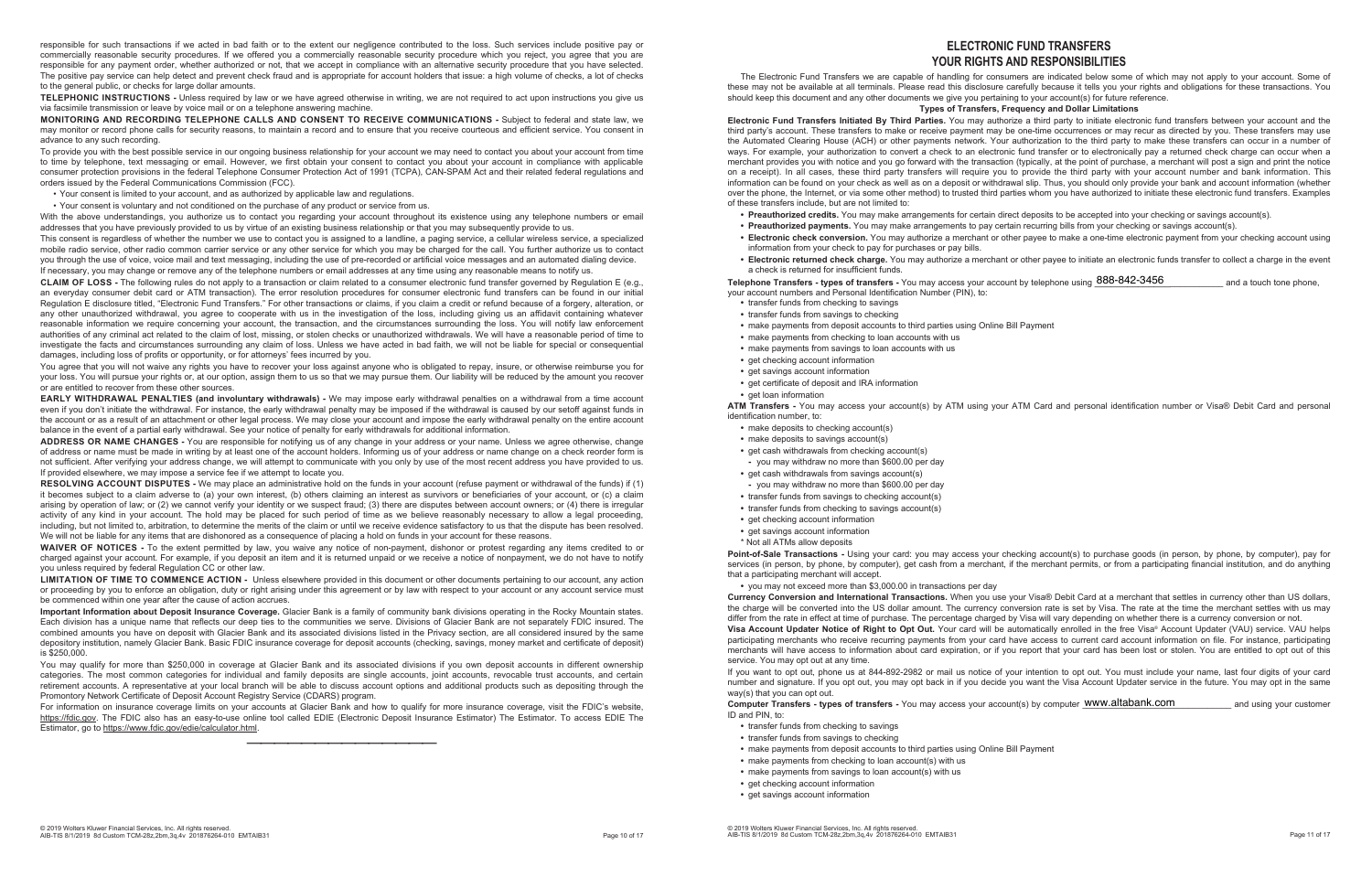responsible for such transactions if we acted in bad faith or to the extent our negligence contributed to the loss. Such services include positive pay or commercially reasonable security procedures. If we offered you a commercially reasonable security procedure which you reject, you agree that you are responsible for any payment order, whether authorized or not, that we accept in compliance with an alternative security procedure that you have selected. The positive pay service can help detect and prevent check fraud and is appropriate for account holders that issue: a high volume of checks, a lot of checks to the general public, or checks for large dollar amounts.

**TELEPHONIC INSTRUCTIONS -** Unless required by law or we have agreed otherwise in writing, we are not required to act upon instructions you give us via facsimile transmission or leave by voice mail or on a telephone answering machine.

**MONITORING AND RECORDING TELEPHONE CALLS AND CONSENT TO RECEIVE COMMUNICATIONS -** Subject to federal and state law, we may monitor or record phone calls for security reasons, to maintain a record and to ensure that you receive courteous and efficient service. You consent in advance to any such recording.

To provide you with the best possible service in our ongoing business relationship for your account we may need to contact you about your account from time to time by telephone, text messaging or email. However, we first obtain your consent to contact you about your account in compliance with applicable consumer protection provisions in the federal Telephone Consumer Protection Act of 1991 (TCPA), CAN-SPAM Act and their related federal regulations and orders issued by the Federal Communications Commission (FCC).

• Your consent is limited to your account, and as authorized by applicable law and regulations.

• Your consent is voluntary and not conditioned on the purchase of any product or service from us.

With the above understandings, you authorize us to contact you regarding your account throughout its existence using any telephone numbers or email addresses that you have previously provided to us by virtue of an existing business relationship or that you may subsequently provide to us.

You agree that you will not waive any rights you have to recover your loss against anyone who is obligated to repay, insure, or otherwise reimburse you for your loss. You will pursue your rights or, at our option, assign them to us so that we may pursue them. Our liability will be reduced by the amount you recover or are entitled to recover from these other sources.

This consent is regardless of whether the number we use to contact you is assigned to a landline, a paging service, a cellular wireless service, a specialized mobile radio service, other radio common carrier service or any other service for which you may be charged for the call. You further authorize us to contact you through the use of voice, voice mail and text messaging, including the use of pre-recorded or artificial voice messages and an automated dialing device. If necessary, you may change or remove any of the telephone numbers or email addresses at any time using any reasonable means to notify us.

**CLAIM OF LOSS -** The following rules do not apply to a transaction or claim related to a consumer electronic fund transfer governed by Regulation E (e.g., an everyday consumer debit card or ATM transaction). The error resolution procedures for consumer electronic fund transfers can be found in our initial Regulation E disclosure titled, "Electronic Fund Transfers." For other transactions or claims, if you claim a credit or refund because of a forgery, alteration, or any other unauthorized withdrawal, you agree to cooperate with us in the investigation of the loss, including giving us an affidavit containing whatever reasonable information we require concerning your account, the transaction, and the circumstances surrounding the loss. You will notify law enforcement authorities of any criminal act related to the claim of lost, missing, or stolen checks or unauthorized withdrawals. We will have a reasonable period of time to investigate the facts and circumstances surrounding any claim of loss. Unless we have acted in bad faith, we will not be liable for special or consequential damages, including loss of profits or opportunity, or for attorneys' fees incurred by you.

**EARLY WITHDRAWAL PENALTIES (and involuntary withdrawals) -** We may impose early withdrawal penalties on a withdrawal from a time account even if you don't initiate the withdrawal. For instance, the early withdrawal penalty may be imposed if the withdrawal is caused by our setoff against funds in the account or as a result of an attachment or other legal process. We may close your account and impose the early withdrawal penalty on the entire account balance in the event of a partial early withdrawal. See your notice of penalty for early withdrawals for additional information.

**ADDRESS OR NAME CHANGES -** You are responsible for notifying us of any change in your address or your name. Unless we agree otherwise, change of address or name must be made in writing by at least one of the account holders. Informing us of your address or name change on a check reorder form is not sufficient. After verifying your address change, we will attempt to communicate with you only by use of the most recent address you have provided to us. If provided elsewhere, we may impose a service fee if we attempt to locate you.

**Telephone Transfers - types of transfers -** You may access your account by telephone using  $888-842-3456 ____________ and a touch tone phone,$ your account numbers and Personal Identification Number (PIN), to:

**RESOLVING ACCOUNT DISPUTES -** We may place an administrative hold on the funds in your account (refuse payment or withdrawal of the funds) if (1) it becomes subject to a claim adverse to (a) your own interest, (b) others claiming an interest as survivors or beneficiaries of your account, or (c) a claim arising by operation of law; or (2) we cannot verify your identity or we suspect fraud; (3) there are disputes between account owners; or (4) there is irregular activity of any kind in your account. The hold may be placed for such period of time as we believe reasonably necessary to allow a legal proceeding, including, but not limited to, arbitration, to determine the merits of the claim or until we receive evidence satisfactory to us that the dispute has been resolved. We will not be liable for any items that are dishonored as a consequence of placing a hold on funds in your account for these reasons.

**ATM Transfers -** You may access your account(s) by ATM using your ATM Card and personal identification number or Visa® Debit Card and personal identification number, to:

**WAIVER OF NOTICES -** To the extent permitted by law, you waive any notice of non-payment, dishonor or protest regarding any items credited to or charged against your account. For example, if you deposit an item and it is returned unpaid or we receive a notice of nonpayment, we do not have to notify you unless required by federal Regulation CC or other law.

**LIMITATION OF TIME TO COMMENCE ACTION -** Unless elsewhere provided in this document or other documents pertaining to our account, any action or proceeding by you to enforce an obligation, duty or right arising under this agreement or by law with respect to your account or any account service must be commenced within one year after the cause of action accrues.

> **Computer Transfers - types of transfers -** You may access your account(s) by computer WWW.a**ltabank.com \_\_\_\_\_\_\_\_\_** and using your customer ID and PIN, to:

**Important Information about Deposit Insurance Coverage.** Glacier Bank is a family of community bank divisions operating in the Rocky Mountain states. Each division has a unique name that reflects our deep ties to the communities we serve. Divisions of Glacier Bank are not separately FDIC insured. The combined amounts you have on deposit with Glacier Bank and its associated divisions listed in the Privacy section, are all considered insured by the same depository institution, namely Glacier Bank. Basic FDIC insurance coverage for deposit accounts (checking, savings, money market and certificate of deposit) is \$250,000.

You may qualify for more than \$250,000 in coverage at Glacier Bank and its associated divisions if you own deposit accounts in different ownership categories. The most common categories for individual and family deposits are single accounts, joint accounts, revocable trust accounts, and certain retirement accounts. A representative at your local branch will be able to discuss account options and additional products such as depositing through the Promontory Network Certificate of Deposit Account Registry Service (CDARS) program.

For information on insurance coverage limits on your accounts at Glacier Bank and how to qualify for more insurance coverage, visit the FDIC's website, https://fdic.gov. The FDIC also has an easy-to-use online tool called EDIE (Electronic Deposit Insurance Estimator) The Estimator. To access EDIE The Estimator, go to https://www.fdic.gov/edie/calculator.html.

——————————————

#### **ELECTRONIC FUND TRANSFERS YOUR RIGHTS AND RESPONSIBILITIES**

The Electronic Fund Transfers we are capable of handling for consumers are indicated below some of which may not apply to your account. Some of these may not be available at all terminals. Please read this disclosure carefully because it tells you your rights and obligations for these transactions. You should keep this document and any other documents we give you pertaining to your account(s) for future reference. **Types of Transfers, Frequency and Dollar Limitations** 

**Electronic Fund Transfers Initiated By Third Parties.** You may authorize a third party to initiate electronic fund transfers between your account and the third party's account. These transfers to make or receive payment may be one-time occurrences or may recur as directed by you. These transfers may use the Automated Clearing House (ACH) or other payments network. Your authorization to the third party to make these transfers can occur in a number of ways. For example, your authorization to convert a check to an electronic fund transfer or to electronically pay a returned check charge can occur when a merchant provides you with notice and you go forward with the transaction (typically, at the point of purchase, a merchant will post a sign and print the notice on a receipt). In all cases, these third party transfers will require you to provide the third party with your account number and bank information. This information can be found on your check as well as on a deposit or withdrawal slip. Thus, you should only provide your bank and account information (whether over the phone, the Internet, or via some other method) to trusted third parties whom you have authorized to initiate these electronic fund transfers. Examples of these transfers include, but are not limited to:

- **Preauthorized credits.** You may make arrangements for certain direct deposits to be accepted into your checking or savings account(s).
- **Preauthorized payments.** You may make arrangements to pay certain recurring bills from your checking or savings account(s).
- **Electronic check conversion.** You may authorize a merchant or other payee to make a one-time electronic payment from your checking account using
- information from your check to pay for purchases or pay bills.
- a check is returned for insufficient funds.

**• Electronic returned check charge.** You may authorize a merchant or other payee to initiate an electronic funds transfer to collect a charge in the event

- **•** transfer funds from checking to savings
- **•** transfer funds from savings to checking
- **•** make payments from deposit accounts to third parties using Online Bill Payment
- **•** make payments from checking to loan accounts with us
- **•** make payments from savings to loan accounts with us
- **•** get checking account information
- **•** get savings account information
- **•** get certificate of deposit and IRA information
- **•** get loan information

- **•** make deposits to checking account(s)
- **•** make deposits to savings account(s)
- **•** get cash withdrawals from checking account(s)
- **-** you may withdraw no more than \$600.00 per day
- **•** get cash withdrawals from savings account(s)
- **-** you may withdraw no more than \$600.00 per day
- **•** transfer funds from savings to checking account(s)
- **•** transfer funds from checking to savings account(s)
- **•** get checking account information
- **•** get savings account information
- \* Not all ATMs allow deposits

**Point-of-Sale Transactions -** Using your card: you may access your checking account(s) to purchase goods (in person, by phone, by computer), pay for services (in person, by phone, by computer), get cash from a merchant, if the merchant permits, or from a participating financial institution, and do anything that a participating merchant will accept.

**•** you may not exceed more than \$3,000.00 in transactions per day

**Currency Conversion and International Transactions.** When you use your Visa® Debit Card at a merchant that settles in currency other than US dollars, the charge will be converted into the US dollar amount. The currency conversion rate is set by Visa. The rate at the time the merchant settles with us may differ from the rate in effect at time of purchase. The percentage charged by Visa will vary depending on whether there is a currency conversion or not. **Visa Account Updater Notice of Right to Opt Out.** Your card will be automatically enrolled in the free Visa® Account Updater (VAU) service. VAU helps participating merchants who receive recurring payments from your card have access to current card account information on file. For instance, participating merchants will have access to information about card expiration, or if you report that your card has been lost or stolen. You are entitled to opt out of this service. You may opt out at any time.

If you want to opt out, phone us at 844-892-2982 or mail us notice of your intention to opt out. You must include your name, last four digits of your card number and signature. If you opt out, you may opt back in if you decide you want the Visa Account Updater service in the future. You may opt in the same way(s) that you can opt out.

- **•** transfer funds from checking to savings
- **•** transfer funds from savings to checking
- **•** make payments from deposit accounts to third parties using Online Bill Payment
- **•** make payments from checking to loan account(s) with us
- **•** make payments from savings to loan account(s) with us
- **•** get checking account information
- **•** get savings account information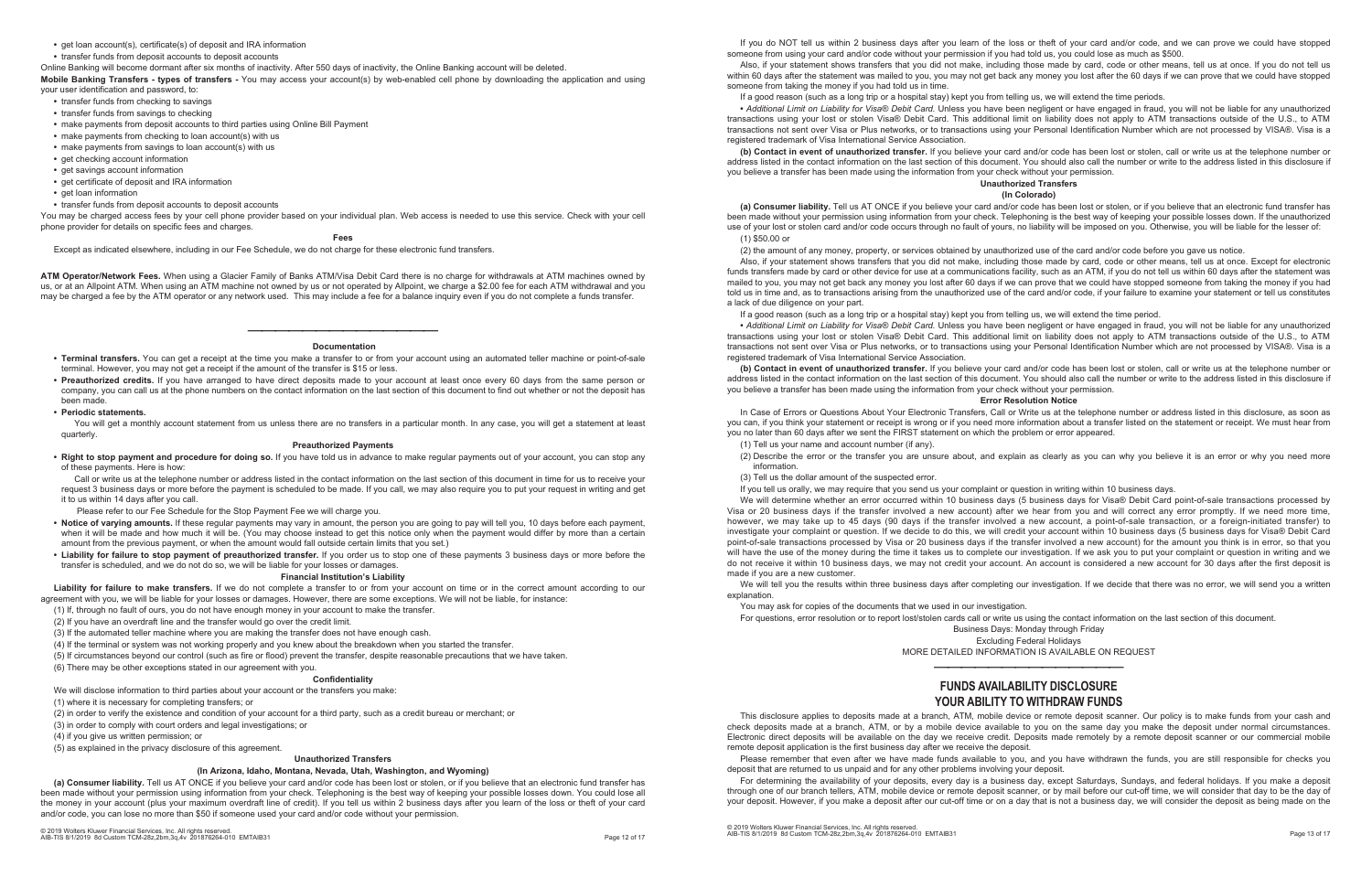#### **•** get loan account(s), certificate(s) of deposit and IRA information

**•** transfer funds from deposit accounts to deposit accounts

Online Banking will become dormant after six months of inactivity. After 550 days of inactivity, the Online Banking account will be deleted.

- **•** transfer funds from checking to savings
- **•** transfer funds from savings to checking
- **•** make payments from deposit accounts to third parties using Online Bill Payment
- **•** make payments from checking to loan account(s) with us
- **•** make payments from savings to loan account(s) with us
- **•** get checking account information
- **•** get savings account information
- **•** get certificate of deposit and IRA information
- get loan information

**Mobile Banking Transfers - types of transfers -** You may access your account(s) by web-enabled cell phone by downloading the application and using your user identification and password, to:

**•** transfer funds from deposit accounts to deposit accounts

You may be charged access fees by your cell phone provider based on your individual plan. Web access is needed to use this service. Check with your cell phone provider for details on specific fees and charges.

#### **Fees**

Except as indicated elsewhere , including in our Fee Schedule, we do not charge for these electronic fund transfers.

You will get a monthly account statement from us unless there are no transfers in a particular month. In any case, you will get a statement at least quarterly.

**ATM Operator/Network Fees.** When using a Glacier Family of Banks ATM/Visa Debit Card there is no charge for withdrawals at ATM machines owned by us, or at an Allpoint ATM. When using an ATM machine not owned by us or not operated by Allpoint, we charge a \$2.00 fee for each ATM withdrawal and you may be charged a fee by the ATM operator or any network used. This may include a fee for a balance inquiry even if you do not complete a funds transfer.

#### —————————————— **Documentation**

- **Terminal transfers.** You can get a receipt at the time you make a transfer to or from your account using an automated teller machine or point-of-sale terminal. However, you may not get a receipt if the amount of the transfer is \$15 or less.
- **Preauthorized credits.** If you have arranged to have direct deposits made to your account at least once every 60 days from the same person or company, you can call us at the phone numbers on the contact information on the last section of this document to find out whether or not the deposit has been made.
- **Periodic statements.**

#### **Preauthorized Payments**

**• Right to stop payment and procedure for doing so.** If you have told us in advance to make regular payments out of your account, you can stop any of these payments. Here is how:

Call or write us at the telephone number or address listed in the contact information on the last section of this document in time for us to receive your request 3 business days or more before the payment is scheduled to be made. If you call, we may also require you to put your request in writing and get it to us within 14 days after you call.

Please refer to our Fee Schedule for the Stop Payment Fee we will charge you.

- **Notice of varying amounts.** If these regular payments may vary in amount, the person you are going to pay will tell you, 10 days before each payment, when it will be made and how much it will be. (You may choose instead to get this notice only when the payment would differ by more than a certain amount from the previous payment, or when the amount would fall outside certain limits that you set.)
- **Liability for failure to stop payment of preauthorized transfer.** If you order us to stop one of these payments 3 business days or more before the transfer is scheduled, and we do not do so, we will be liable for your losses or damages.

#### **Financial Institution's Liability**

**Liability for failure to make transfers.** If we do not complete a transfer to or from your account on time or in the correct amount according to our agreement with you, we will be liable for your losses or damages. However, there are some exceptions. We will not be liable, for instance:

(1) If, through no fault of ours, you do not have enough money in your account to make the transfer.

(2) If you have an overdraft line and the transfer would go over the credit limit.

(3) If the automated teller machine where you are making the transfer does not have enough cash.

(4) If the terminal or system was not working properly and you knew about the breakdown when you started the transfer.

(5) If circumstances beyond our control (such as fire or flood) prevent the transfer, despite reasonable precautions that we have taken.

(6) There may be other exceptions stated in our agreement with you.

#### **Confidentiality**

We will disclose information to third parties about your account or the transfers you make:

(1) where it is necessary for completing transfers; or

(2) in order to verify the existence and condition of your account for a third party, such as a credit bureau or merchant; or

(3) in order to comply with court orders and legal investigations; or

(4) if you give us written permission; or

(5) as explained in the privacy disclosure of this agreement.

#### **Unauthorized Transfers**

#### **(In Arizona, Idaho, Montana, Nevada, Utah, Washington, and Wyoming)**

**(a) Consumer liability.** Tell us AT ONCE if you believe your card and/or code has been lost or stolen, or if you believe that an electronic fund transfer has been made without your permission using information from your check. Telephoning is the best way of keeping your possible losses down. You could lose all the money in your account (plus your maximum overdraft line of credit). If you tell us within 2 business days after you learn of the loss or theft of your card and/or code, you can lose no more than \$50 if someone used your card and/or code without your permission.

If you do NOT tell us within 2 business days after you learn of the loss or theft of your card and/or code, and we can prove we could have stopped someone from using your card and/or code without your permission if you had told us, you could lose as much as \$500. Also, if your statement shows transfers that you did not make, including those made by card, code or other means, tell us at once. If you do not tell us within 60 days after the statement was mailed to you, you may not get back any money you lost after the 60 days if we can prove that we could have stopped someone from taking the money if you had told us in time.

If a good reason (such as a long trip or a hospital stay) kept you from telling us, we will extend the time periods.

**•** *Additional Limit on Liability for Visa® Debit Card.* Unless you have been negligent or have engaged in fraud, you will not be liable for any unauthorized transactions using your lost or stolen Visa® Debit Card. This additional limit on liability does not apply to ATM transactions outside of the U.S., to ATM transactions not sent over Visa or Plus networks, or to transactions using your Personal Identification Number which are not processed by VISA®. Visa is a registered trademark of Visa International Service Association.

**(b) Contact in event of unauthorized transfer.** If you believe your card and/or code has been lost or stolen, call or write us at the telephone number or address listed in the contact information on the last section of this document. You should also call the number or write to the address listed in this disclosure if you believe a transfer has been made using the information from your check without your permission. **Unauthorized Transfers** 

#### **(In Colorado)**

**(a) Consumer liability.** Tell us AT ONCE if you believe your card and/or code has been lost or stolen, or if you believe that an electronic fund transfer has been made without your permission using information from your check. Telephoning is the best way of keeping your possible losses down. If the unauthorized use of your lost or stolen card and/or code occurs through no fault of yours, no liability will be imposed on you. Otherwise, you will be liable for the lesser of: (1) \$50.00 or

(2) the amount of any money, property, or services obtained by unauthorized use of the card and/or code before you gave us notice.

Also, if your statement shows transfers that you did not make, including those made by card, code or other means, tell us at once. Except for electronic funds transfers made by card or other device for use at a communications facility, such as an ATM, if you do not tell us within 60 days after the statement was mailed to you, you may not get back any money you lost after 60 days if we can prove that we could have stopped someone from taking the money if you had told us in time and, as to transactions arising from the unauthorized use of the card and/or code, if your failure to examine your statement or tell us constitutes a lack of due diligence on your part.

If a good reason (such as a long trip or a hospital stay) kept you from telling us, we will extend the time period.

**•** *Additional Limit on Liability for Visa® Debit Card.* Unless you have been negligent or have engaged in fraud, you will not be liable for any unauthorized transactions using your lost or stolen Visa® Debit Card. This additional limit on liability does not apply to ATM transactions outside of the U.S., to ATM transactions not sent over Visa or Plus networks, or to transactions using your Personal Identification Number which are not processed by VISA®. Visa is a registered trademark of Visa International Service Association.

**(b) Contact in event of unauthorized transfer.** If you believe your card and/or code has been lost or stolen, call or write us at the telephone number or address listed in the contact information on the last section of this document. You should also call the number or write to the address listed in this disclosure if you believe a transfer has been made using the information from your check without your permission.

#### **Error Resolution Notice**

In Case of Errors or Questions About Your Electronic Transfers, Call or Write us at the telephone number or address listed in this disclosure, as soon as you can, if you think your statement or receipt is wrong or if you need more information about a transfer listed on the statement or receipt. We must hear from you no later than 60 days after we sent the FIRST statement on which the problem or error appeared.

(1) Tell us your name and account number (if any).

(2) Describe the error or the transfer you are unsure about, and explain as clearly as you can why you believe it is an error or why you need more

information.

(3) Tell us the dollar amount of the suspected error.

If you tell us orally, we may require that you send us your complaint or question in writing within 10 business days.

We will determine whether an error occurred within 10 business days (5 business days for Visa® Debit Card point-of-sale transactions processed by Visa or 20 business days if the transfer involved a new account) after we hear from you and will correct any error promptly. If we need more time, however, we may take up to 45 days (90 days if the transfer involved a new account, a point-of-sale transaction, or a foreign-initiated transfer) to investigate your complaint or question. If we decide to do this, we will credit your account within 10 business days (5 business days for Visa® Debit Card point-of-sale transactions processed by Visa or 20 business days if the transfer involved a new account) for the amount you think is in error, so that you will have the use of the money during the time it takes us to complete our investigation. If we ask you to put your complaint or question in writing and we do not receive it within 10 business days, we may not credit your account. An account is considered a new account for 30 days after the first deposit is made if you are a new customer.

We will tell you the results within three business days after completing our investigation. If we decide that there was no error, we will send you a written explanation.

You may ask for copies of the documents that we used in our investigation. For questions, error resolution or to report lost/stolen cards call or write us using the contact information on the last section of this document.

- Business Days: Monday through Friday
	- Excluding Federal Holidays

MORE DETAILED INFORMATION IS AVAILABLE ON REQUEST

——————————————

#### **FUNDS AVAILABILITY DISCLOSURE YOUR ABILITY TO WITHDRAW FUNDS**

This disclosure applies to deposits made at a branch, ATM, mobile device or remote deposit scanner. Our policy is to make funds from your cash and check deposits made at a branch, ATM, or by a mobile device available to you on the same day you make the deposit under normal circumstances. Electronic direct deposits will be available on the day we receive credit. Deposits made remotely by a remote deposit scanner or our commercial mobile remote deposit application is the first business day after we receive the deposit.

Please remember that even after we have made funds available to you, and you have withdrawn the funds, you are still responsible for checks you deposit that are returned to us unpaid and for any other problems involving your deposit.

For determining the availability of your deposits, every day is a business day, except Saturdays, Sundays, and federal holidays. If you make a deposit through one of our branch tellers, ATM, mobile device or remote deposit scanner, or by mail before our cut-off time, we will consider that day to be the day of your deposit. However, if you make a deposit after our cut-off time or on a day that is not a business day, we will consider the deposit as being made on the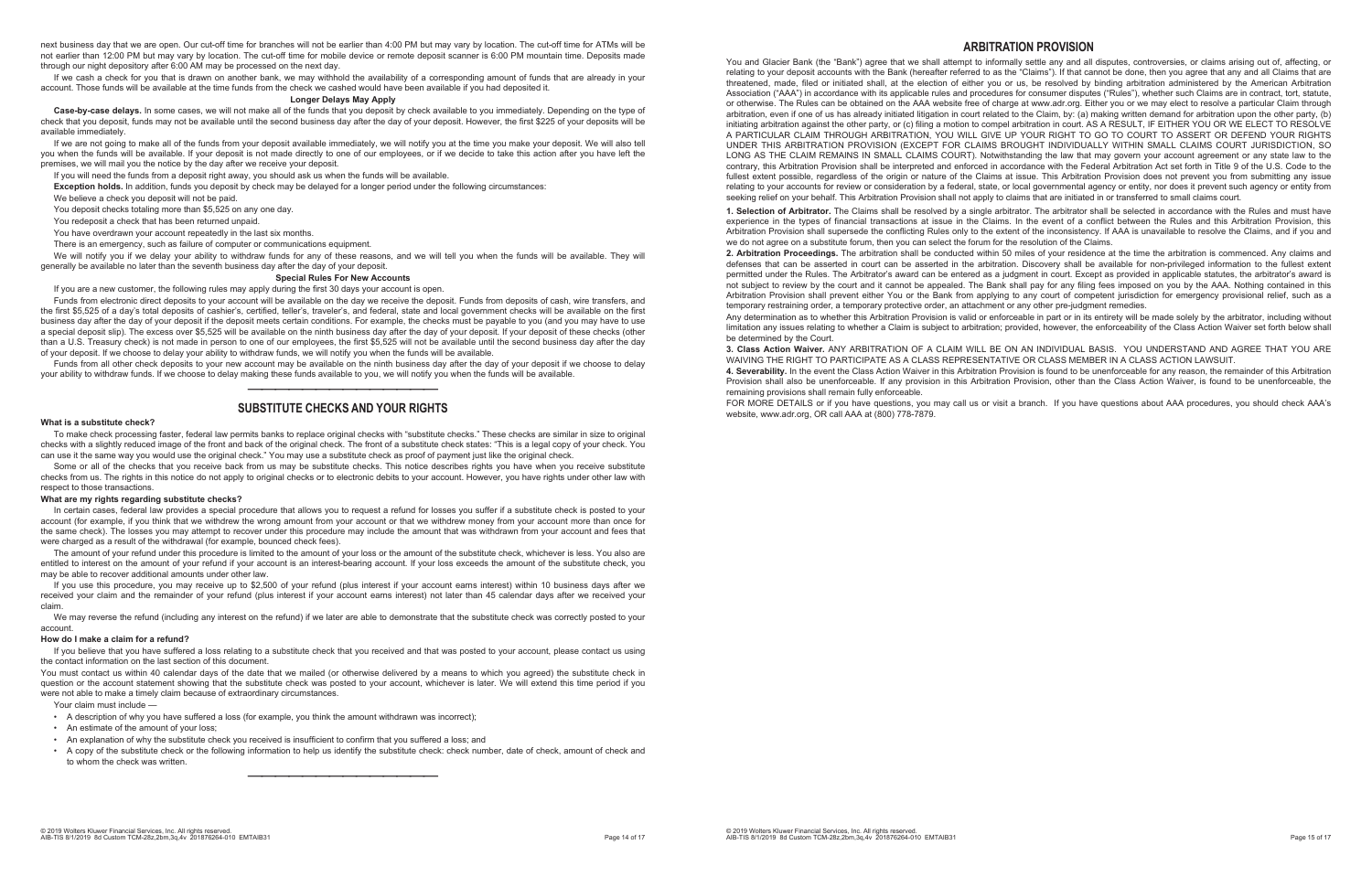next business day that we are open. Our cut-off time for branches will not be earlier than 4:00 PM but may vary by location. The cut-off time for ATMs will be not earlier than 12:00 PM but may vary by location. The cut-off time for mobile device or remote deposit scanner is 6:00 PM mountain time. Deposits made through our night depository after 6:00 AM may be processed on the next day.

If we cash a check for you that is drawn on another bank, we may withhold the availability of a corresponding amount of funds that are already in your account. Those funds will be available at the time funds from the check we cashed would have been available if you had deposited it.

#### **Longer Delays May Apply**

**Case-by-case delays.** In some cases, we will not make all of the funds that you deposit by check available to you immediately. Depending on the type of check that you deposit, funds may not be available until the second business day after the day of your deposit. However, the first \$225 of your deposits will be available immediately.

We will notify you if we delay your ability to withdraw funds for any of these reasons, and we will tell you when the funds will be available. They will generally be available no later than the seventh business day after the day of your deposit.

If we are not going to make all of the funds from your deposit available immediately, we will notify you at the time you make your deposit. We will also tell you when the funds will be available. If your deposit is not made directly to one of our employees, or if we decide to take this action after you have left the premises, we will mail you the notice by the day after we receive your deposit.

If you will need the funds from a deposit right away, you should ask us when the funds will be available.

**Exception holds.** In addition, funds you deposit by check may be delayed for a longer period under the following circumstances:

We believe a check you deposit will not be paid.

You deposit checks totaling more than \$5,525 on any one day.

You redeposit a check that has been returned unpaid.

You have overdrawn your account repeatedly in the last six months.

There is an emergency, such as failure of computer or communications equipment.

#### **Special Rules For New Accounts**

If you are a new customer, the following rules may apply during the first 30 days your account is open.

In certain cases, federal law provides a special procedure that allows you to request a refund for losses you suffer if a substitute check is posted to your account (for example, if you think that we withdrew the wrong amount from your account or that we withdrew money from your account more than once for the same check). The losses you may attempt to recover under this procedure may include the amount that was withdrawn from your account and fees that were charged as a result of the withdrawal (for example, bounced check fees).

Funds from electronic direct deposits to your account will be available on the day we receive the deposit. Funds from deposits of cash, wire transfers, and the first \$5,525 of a day's total deposits of cashier's, certified, teller's, traveler's, and federal, state and local government checks will be available on the first business day after the day of your deposit if the deposit meets certain conditions. For example, the checks must be payable to you (and you may have to use a special deposit slip). The excess over \$5,525 will be available on the ninth business day after the day of your deposit. If your deposit of these checks (other than a U.S. Treasury check) is not made in person to one of our employees, the first \$5,525 will not be available until the second business day after the day of your deposit. If we choose to delay your ability to withdraw funds, we will notify you when the funds will be available.

Funds from all other check deposits to your new account may be available on the ninth business day after the day of your deposit if we choose to delay your ability to withdraw funds. If we choose to delay making these funds available to you, we will notify you when the funds will be available.

#### —————————————— **SUBSTITUTE CHECKS AND YOUR RIGHTS**

#### **What is a substitute check?**

To make check processing faster, federal law permits banks to replace original checks with "substitute checks." These checks are similar in size to original checks with a slightly reduced image of the front and back of the original check. The front of a substitute check states: "This is a legal copy of your check. You can use it the same way you would use the original check." You may use a substitute check as proof of payment just like the original check.

Some or all of the checks that you receive back from us may be substitute checks. This notice describes rights you have when you receive substitute checks from us. The rights in this notice do not apply to original checks or to electronic debits to your account. However, you have rights under other law with respect to those transactions.

#### **What are my rights regarding substitute checks?**

You and Glacier Bank (the "Bank") agree that we shall attempt to informally settle any and all disputes, controversies, or claims arising out of, affecting, or relating to your deposit accounts with the Bank (hereafter referred to as the "Claims"). If that cannot be done, then you agree that any and all Claims that are threatened, made, filed or initiated shall, at the election of either you or us, be resolved by binding arbitration administered by the American Arbitration Association ("AAA") in accordance with its applicable rules and procedures for consumer disputes ("Rules"), whether such Claims are in contract, tort, statute, or otherwise. The Rules can be obtained on the AAA website free of charge at www.adr.org. Either you or we may elect to resolve a particular Claim through arbitration, even if one of us has already initiated litigation in court related to the Claim, by: (a) making written demand for arbitration upon the other party, (b) initiating arbitration against the other party, or (c) filing a motion to compel arbitration in court. AS A RESULT, IF EITHER YOU OR WE ELECT TO RESOLVE A PARTICULAR CLAIM THROUGH ARBITRATION, YOU WILL GIVE UP YOUR RIGHT TO GO TO COURT TO ASSERT OR DEFEND YOUR RIGHTS UNDER THIS ARBITRATION PROVISION (EXCEPT FOR CLAIMS BROUGHT INDIVIDUALLY WITHIN SMALL CLAIMS COURT JURISDICTION, SO LONG AS THE CLAIM REMAINS IN SMALL CLAIMS COURT). Notwithstanding the law that may govern your account agreement or any state law to the contrary, this Arbitration Provision shall be interpreted and enforced in accordance with the Federal Arbitration Act set forth in Title 9 of the U.S. Code to the fullest extent possible, regardless of the origin or nature of the Claims at issue. This Arbitration Provision does not prevent you from submitting any issue relating to your accounts for review or consideration by a federal, state, or local governmental agency or entity, nor does it prevent such agency or entity from seeking relief on your behalf. This Arbitration Provision shall not apply to claims that are initiated in or transferred to small claims court.

The amount of your refund under this procedure is limited to the amount of your loss or the amount of the substitute check, whichever is less. You also are entitled to interest on the amount of your refund if your account is an interest-bearing account. If your loss exceeds the amount of the substitute check, you may be able to recover additional amounts under other law.

If you use this procedure, you may receive up to \$2,500 of your refund (plus interest if your account earns interest) within 10 business days after we received your claim and the remainder of your refund (plus interest if your account earns interest) not later than 45 calendar days after we received your claim.

We may reverse the refund (including any interest on the refund) if we later are able to demonstrate that the substitute check was correctly posted to your account.

#### **How do I make a claim for a refund?**

If you believe that you have suffered a loss relating to a substitute check that you received and that was posted to your account, please contact us using the contact information on the last section of this document.

You must contact us within 40 calendar days of the date that we mailed (or otherwise delivered by a means to which you agreed) the substitute check in question or the account statement showing that the substitute check was posted to your account, whichever is later. We will extend this time period if you were not able to make a timely claim because of extraordinary circumstances.

Your claim must include —

- A description of why you have suffered a loss (for example, you think the amount withdrawn was incorrect);
- An estimate of the amount of your loss;
- An explanation of why the substitute check you received is insufficient to confirm that you suffered a loss; and
- A copy of the substitute check or the following information to help us identify the substitute check: check number, date of check, amount of check and to whom the check was written.

——————————————

#### **ARBITRATION PROVISION**

**1. Selection of Arbitrator.** The Claims shall be resolved by a single arbitrator. The arbitrator shall be selected in accordance with the Rules and must have experience in the types of financial transactions at issue in the Claims. In the event of a conflict between the Rules and this Arbitration Provision, this Arbitration Provision shall supersede the conflicting Rules only to the extent of the inconsistency. If AAA is unavailable to resolve the Claims, and if you and we do not agree on a substitute forum, then you can select the forum for the resolution of the Claims. **2. Arbitration Proceedings.** The arbitration shall be conducted within 50 miles of your residence at the time the arbitration is commenced. Any claims and defenses that can be asserted in court can be asserted in the arbitration. Discovery shall be available for non-privileged information to the fullest extent permitted under the Rules. The Arbitrator's award can be entered as a judgment in court. Except as provided in applicable statutes, the arbitrator's award is not subject to review by the court and it cannot be appealed. The Bank shall pay for any filing fees imposed on you by the AAA. Nothing contained in this Arbitration Provision shall prevent either You or the Bank from applying to any court of competent jurisdiction for emergency provisional relief, such as a temporary restraining order, a temporary protective order, an attachment or any other pre-judgment remedies. Any determination as to whether this Arbitration Provision is valid or enforceable in part or in its entirety will be made solely by the arbitrator, including without limitation any issues relating to whether a Claim is subject to arbitration; provided, however, the enforceability of the Class Action Waiver set forth below shall be determined by the Court.

**3. Class Action Waiver.** ANY ARBITRATION OF A CLAIM WILL BE ON AN INDIVIDUAL BASIS. YOU UNDERSTAND AND AGREE THAT YOU ARE WAIVING THE RIGHT TO PARTICIPATE AS A CLASS REPRESENTATIVE OR CLASS MEMBER IN A CLASS ACTION LAWSUIT. **4. Severability.** In the event the Class Action Waiver in this Arbitration Provision is found to be unenforceable for any reason, the remainder of this Arbitration Provision shall also be unenforceable. If any provision in this Arbitration Provision, other than the Class Action Waiver, is found to be unenforceable, the remaining provisions shall remain fully enforceable.

FOR MORE DETAILS or if you have questions, you may call us or visit a branch. If you have questions about AAA procedures, you should check AAA's website, www.adr.org, OR call AAA at (800) 778-7879.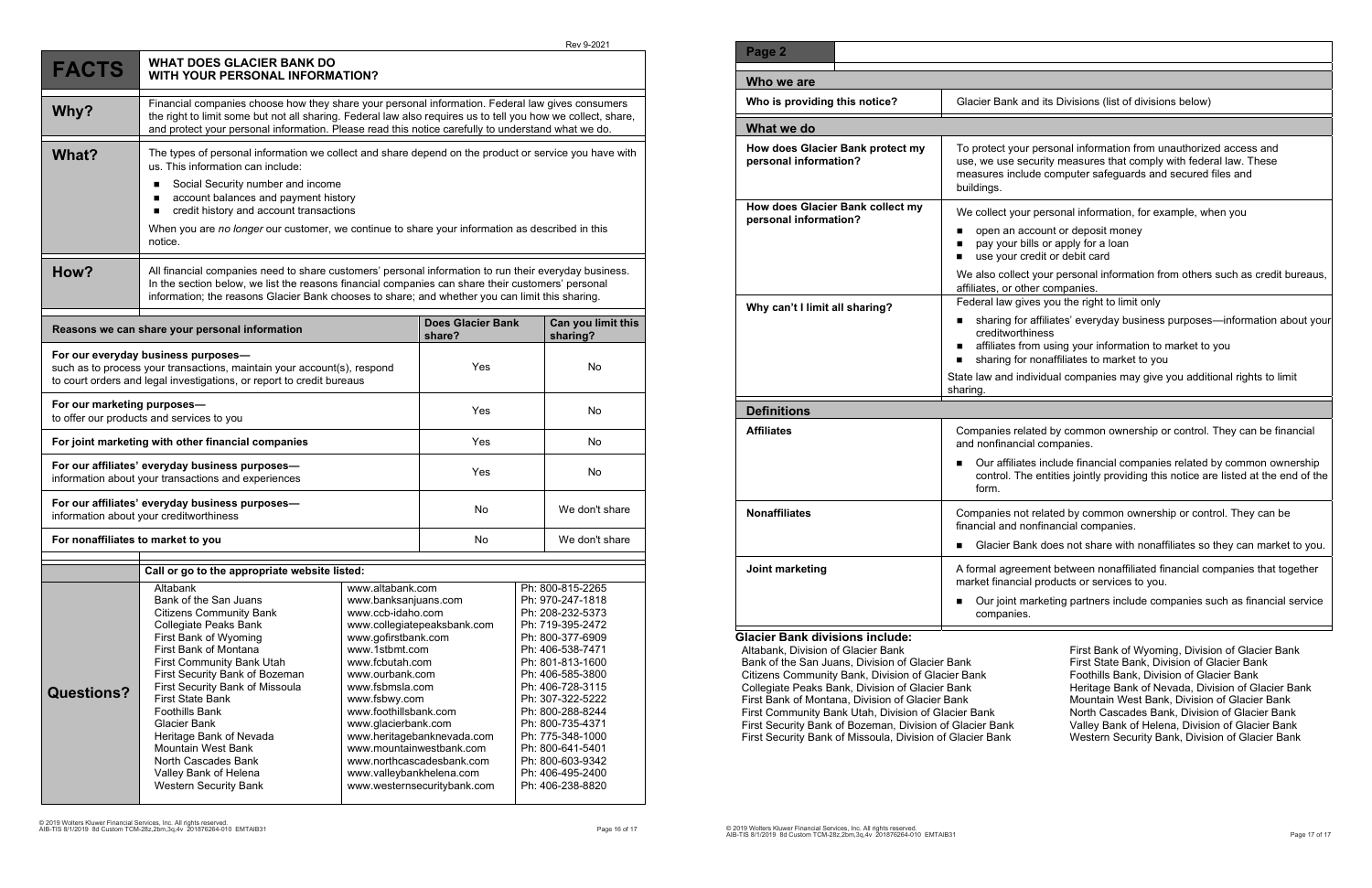|                                                                                                                                                                                         |                                                                                                                                                                                                                                                                                                                        |                                                                                    |                                    |                                                          | Rev 9-2021                                                                                       |  |
|-----------------------------------------------------------------------------------------------------------------------------------------------------------------------------------------|------------------------------------------------------------------------------------------------------------------------------------------------------------------------------------------------------------------------------------------------------------------------------------------------------------------------|------------------------------------------------------------------------------------|------------------------------------|----------------------------------------------------------|--------------------------------------------------------------------------------------------------|--|
| <b>FACTS</b>                                                                                                                                                                            | <b>WHAT DOES GLACIER BANK DO</b><br><b>WITH YOUR PERSONAL INFORMATION?</b>                                                                                                                                                                                                                                             |                                                                                    |                                    |                                                          |                                                                                                  |  |
| Why?                                                                                                                                                                                    | Financial companies choose how they share your personal information. Federal law gives consumers<br>the right to limit some but not all sharing. Federal law also requires us to tell you how we collect, share,<br>and protect your personal information. Please read this notice carefully to understand what we do. |                                                                                    |                                    |                                                          |                                                                                                  |  |
| What?                                                                                                                                                                                   | The types of personal information we collect and share depend on the product or service you have with<br>us. This information can include:<br>Social Security number and income                                                                                                                                        |                                                                                    |                                    |                                                          |                                                                                                  |  |
|                                                                                                                                                                                         | account balances and payment history                                                                                                                                                                                                                                                                                   |                                                                                    |                                    |                                                          |                                                                                                  |  |
|                                                                                                                                                                                         | credit history and account transactions<br>п                                                                                                                                                                                                                                                                           |                                                                                    |                                    |                                                          |                                                                                                  |  |
|                                                                                                                                                                                         | When you are no longer our customer, we continue to share your information as described in this<br>notice.                                                                                                                                                                                                             |                                                                                    |                                    |                                                          |                                                                                                  |  |
| How?                                                                                                                                                                                    | All financial companies need to share customers' personal information to run their everyday business.<br>In the section below, we list the reasons financial companies can share their customers' personal<br>information; the reasons Glacier Bank chooses to share; and whether you can limit this sharing.          |                                                                                    |                                    |                                                          |                                                                                                  |  |
| Reasons we can share your personal information                                                                                                                                          |                                                                                                                                                                                                                                                                                                                        |                                                                                    | <b>Does Glacier Bank</b><br>share? |                                                          | Can you limit this<br>sharing?                                                                   |  |
| For our everyday business purposes-<br>such as to process your transactions, maintain your account(s), respond<br>to court orders and legal investigations, or report to credit bureaus |                                                                                                                                                                                                                                                                                                                        |                                                                                    | Yes                                |                                                          | No                                                                                               |  |
| For our marketing purposes-<br>to offer our products and services to you                                                                                                                |                                                                                                                                                                                                                                                                                                                        |                                                                                    | Yes                                |                                                          | No                                                                                               |  |
| For joint marketing with other financial companies                                                                                                                                      |                                                                                                                                                                                                                                                                                                                        |                                                                                    | Yes                                |                                                          | No                                                                                               |  |
| For our affiliates' everyday business purposes-<br>information about your transactions and experiences                                                                                  |                                                                                                                                                                                                                                                                                                                        |                                                                                    | Yes                                |                                                          | No                                                                                               |  |
| For our affiliates' everyday business purposes-<br>information about your creditworthiness                                                                                              |                                                                                                                                                                                                                                                                                                                        |                                                                                    | No                                 |                                                          | We don't share                                                                                   |  |
| For nonaffiliates to market to you                                                                                                                                                      |                                                                                                                                                                                                                                                                                                                        |                                                                                    | No                                 |                                                          | We don't share                                                                                   |  |
| Call or go to the appropriate website listed:                                                                                                                                           |                                                                                                                                                                                                                                                                                                                        |                                                                                    |                                    |                                                          |                                                                                                  |  |
|                                                                                                                                                                                         | Altabank                                                                                                                                                                                                                                                                                                               | www.altabank.com                                                                   | Ph: 800-815-2265                   |                                                          |                                                                                                  |  |
|                                                                                                                                                                                         | Bank of the San Juans<br><b>Citizens Community Bank</b><br>Collegiate Peaks Bank<br>First Bank of Wyoming<br>First Bank of Montana                                                                                                                                                                                     | www.banksanjuans.com<br>www.ccb-idaho.com<br>www.gofirstbank.com<br>www.1stbmt.com | www.collegiatepeaksbank.com        |                                                          | Ph: 970-247-1818<br>Ph: 208-232-5373<br>Ph: 719-395-2472<br>Ph: 800-377-6909<br>Ph: 406-538-7471 |  |
|                                                                                                                                                                                         | <b>First Community Bank Utah</b><br>First Security Bank of Bozeman<br>First Security Bank of Missoula                                                                                                                                                                                                                  | www.fcbutah.com<br>www.ourbank.com<br>www.fsbmsla.com                              |                                    | Ph: 801-813-1600<br>Ph: 406-585-3800<br>Ph: 406-728-3115 |                                                                                                  |  |
| <b>Questions?</b>                                                                                                                                                                       | <b>First State Bank</b>                                                                                                                                                                                                                                                                                                | www.fsbwy.com                                                                      |                                    | Ph: 307-322-5222                                         |                                                                                                  |  |
|                                                                                                                                                                                         | <b>Foothills Bank</b>                                                                                                                                                                                                                                                                                                  | www.foothillsbank.com                                                              |                                    | Ph: 800-288-8244                                         |                                                                                                  |  |
|                                                                                                                                                                                         | <b>Glacier Bank</b>                                                                                                                                                                                                                                                                                                    | www.glacierbank.com                                                                |                                    | Ph: 800-735-4371                                         |                                                                                                  |  |
|                                                                                                                                                                                         | Heritage Bank of Nevada                                                                                                                                                                                                                                                                                                | www.heritagebanknevada.com                                                         |                                    | Ph: 775-348-1000                                         |                                                                                                  |  |
|                                                                                                                                                                                         | <b>Mountain West Bank</b>                                                                                                                                                                                                                                                                                              | www.mountainwestbank.com                                                           |                                    |                                                          | Ph: 800-641-5401                                                                                 |  |
|                                                                                                                                                                                         | North Cascades Bank                                                                                                                                                                                                                                                                                                    | www.northcascadesbank.com<br>Ph: 800-603-9342                                      |                                    |                                                          |                                                                                                  |  |
|                                                                                                                                                                                         | Valley Bank of Helena<br><b>Western Security Bank</b>                                                                                                                                                                                                                                                                  | www.valleybankhelena.com<br>www.westernsecuritybank.com                            |                                    | Ph: 406-495-2400<br>Ph: 406-238-8820                     |                                                                                                  |  |

#### **K** and its Divisions (list of divisions below)

your personal information from unauthorized access and e security measures that comply with federal law. These nclude computer safeguards and secured files and

your personal information, for example, when you

- n account or deposit money ur bills or apply for a loan ur credit or debit card
- llect your personal information from others such as credit bureaus, other companies.
- gives you the right to limit only
- for affiliates' everyday business purposes—information about your orthiness
- s from using your information to market to you
- **tharm** for nonaffiliates to market to you
- individual companies may give you additional rights to limit

related by common ownership or control. They can be financial ancial companies.

iliates include financial companies related by common ownership The entities jointly providing this notice are listed at the end of the

not related by common ownership or control. They can be d nonfinancial companies.

Bank does not share with nonaffiliates so they can market to you.

**Joensent between nonaffiliated financial companies that together** ncial products or services to you.

nt marketing partners include companies such as financial service nies.

| Page 2                                                    |                                                                                                                |
|-----------------------------------------------------------|----------------------------------------------------------------------------------------------------------------|
| Who we are                                                |                                                                                                                |
| Who is providing this notice?                             | Glacier Bank a                                                                                                 |
| What we do                                                |                                                                                                                |
| How does Glacier Bank protect my<br>personal information? | To protect you<br>use, we use s<br>measures incl<br>buildings.                                                 |
| How does Glacier Bank collect my<br>personal information? | We collect you<br>open an a<br>pay your b<br>use your o<br>We also colled<br>affiliates, or ot                 |
| Why can't I limit all sharing?                            | Federal law gi<br>sharing fo<br>■<br>creditwort<br>affiliates fr<br>sharing fo<br>State law and in<br>sharing. |
| <b>Definitions</b>                                        |                                                                                                                |
| <b>Affiliates</b>                                         | Companies re<br>and nonfinanc<br>Our affiliat<br>control. Th<br>form.                                          |
| <b>Nonaffiliates</b>                                      | Companies no<br>financial and r<br>Glacier Ba                                                                  |
| Joint marketing                                           | A formal agree<br>market financi<br>Our joint r<br>companie:                                                   |
| <b>Glacier Bank divisions include:</b>                    |                                                                                                                |

Altabank, Division of Glacier Bank Bank of the San Juans, Division of Glacier Bank Citizens Community Bank, Division of Glacier Bank Collegiate Peaks Bank, Division of Glacier Bank First Bank of Montana, Division of Glacier Bank First Community Bank Utah, Division of Glacier Bank First Security Bank of Bozeman, Division of Glacier Bank First Security Bank of Missoula, Division of Glacier Bank

First Bank of Wyoming, Division of Glacier Bank First State Bank, Division of Glacier Bank Foothills Bank, Division of Glacier Bank Heritage Bank of Nevada, Division of Glacier Bank Mountain West Bank, Division of Glacier Bank North Cascades Bank, Division of Glacier Bank Valley Bank of Helena, Division of Glacier Bank Western Security Bank, Division of Glacier Bank